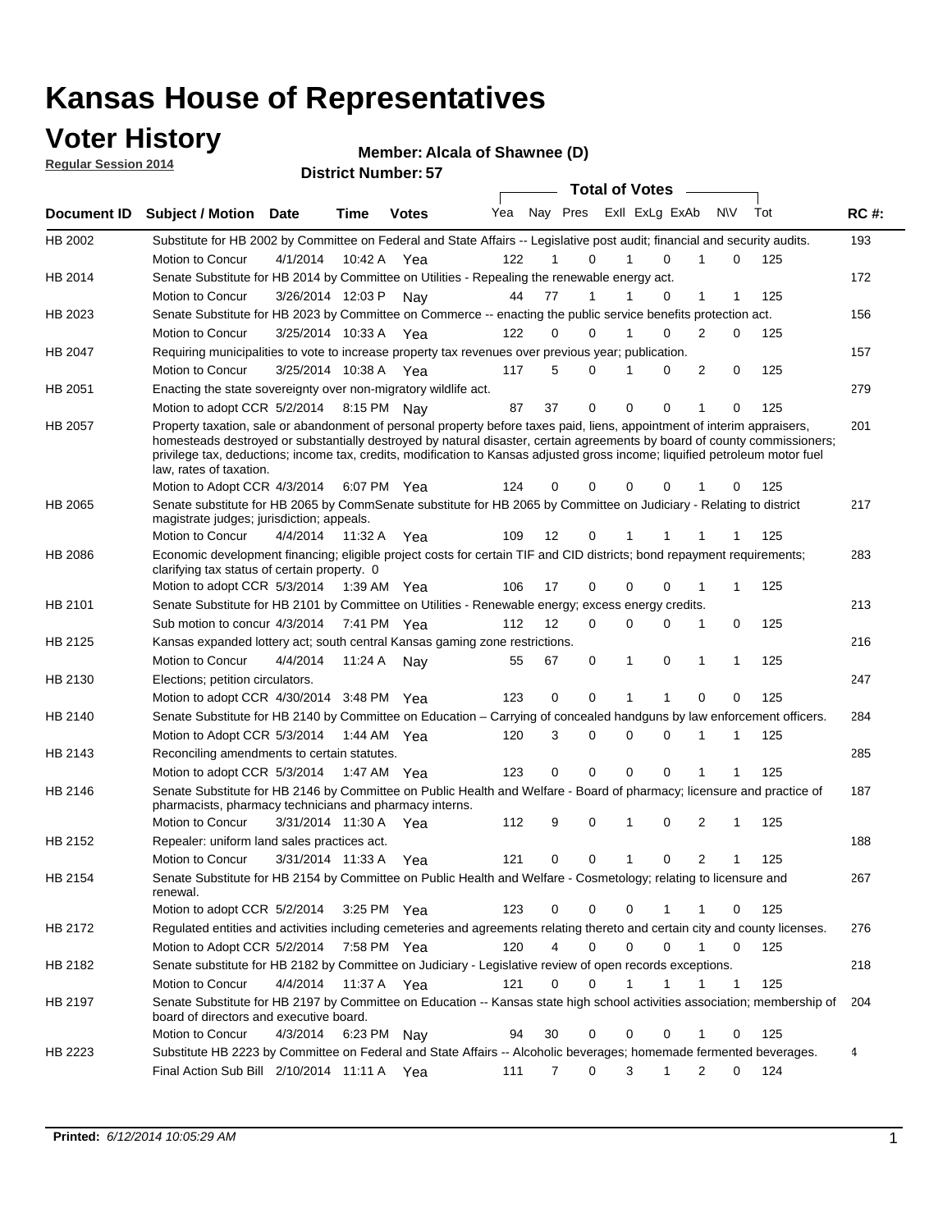### **Voter History**

**Regular Session 2014**

#### **Alcala of Shawnee (D)**

|             |                                                                                                                                                                                                                                                                                                                                                                                                                  |                       |             | <b>DISTRICT MAILINGLES</b> |     |    |                  | <b>Total of Votes</b> |                |                             |     |             |
|-------------|------------------------------------------------------------------------------------------------------------------------------------------------------------------------------------------------------------------------------------------------------------------------------------------------------------------------------------------------------------------------------------------------------------------|-----------------------|-------------|----------------------------|-----|----|------------------|-----------------------|----------------|-----------------------------|-----|-------------|
| Document ID | <b>Subject / Motion</b>                                                                                                                                                                                                                                                                                                                                                                                          | <b>Date</b>           | Time        | <b>Votes</b>               | Yea |    | Nay Pres         |                       | Exll ExLg ExAb | <b>NV</b>                   | Tot | <b>RC#:</b> |
| HB 2002     | Substitute for HB 2002 by Committee on Federal and State Affairs -- Legislative post audit; financial and security audits.                                                                                                                                                                                                                                                                                       |                       |             |                            |     |    |                  |                       |                |                             |     | 193         |
|             | Motion to Concur                                                                                                                                                                                                                                                                                                                                                                                                 | 4/1/2014              |             | 10:42 A Yea                | 122 |    | $\Omega$         |                       | $\Omega$       | 0                           | 125 |             |
| HB 2014     | Senate Substitute for HB 2014 by Committee on Utilities - Repealing the renewable energy act.                                                                                                                                                                                                                                                                                                                    |                       |             |                            |     |    |                  |                       |                |                             |     | 172         |
|             | Motion to Concur                                                                                                                                                                                                                                                                                                                                                                                                 | 3/26/2014 12:03 P     |             | Nav                        | 44  | 77 |                  |                       | 0              | 1                           | 125 |             |
| HB 2023     | Senate Substitute for HB 2023 by Committee on Commerce -- enacting the public service benefits protection act.                                                                                                                                                                                                                                                                                                   |                       |             |                            |     |    |                  |                       |                |                             |     | 156         |
|             | Motion to Concur                                                                                                                                                                                                                                                                                                                                                                                                 | 3/25/2014 10:33 A Yea |             |                            | 122 |    | 0<br>0           |                       | 0              | 2<br>0                      | 125 |             |
| HB 2047     | Requiring municipalities to vote to increase property tax revenues over previous year; publication.                                                                                                                                                                                                                                                                                                              |                       |             |                            |     |    |                  |                       |                |                             |     | 157         |
|             | Motion to Concur                                                                                                                                                                                                                                                                                                                                                                                                 | 3/25/2014 10:38 A     |             | Yea                        | 117 |    | 5<br>0           |                       | 0              | 2<br>0                      | 125 |             |
| HB 2051     | Enacting the state sovereignty over non-migratory wildlife act.                                                                                                                                                                                                                                                                                                                                                  |                       |             |                            |     |    |                  |                       |                |                             |     | 279         |
|             | Motion to adopt CCR 5/2/2014                                                                                                                                                                                                                                                                                                                                                                                     |                       | 8:15 PM Nav |                            | 87  | 37 | 0                | $\Omega$              | $\Omega$       | 1<br>0                      | 125 |             |
| HB 2057     | Property taxation, sale or abandonment of personal property before taxes paid, liens, appointment of interim appraisers,<br>homesteads destroyed or substantially destroyed by natural disaster, certain agreements by board of county commissioners;<br>privilege tax, deductions; income tax, credits, modification to Kansas adjusted gross income; liquified petroleum motor fuel<br>law, rates of taxation. |                       |             |                            | 124 |    | 0<br>0           | $\Omega$              | 0              | 0                           | 125 | 201         |
|             | Motion to Adopt CCR 4/3/2014                                                                                                                                                                                                                                                                                                                                                                                     |                       |             | 6:07 PM Yea                |     |    |                  |                       |                |                             |     |             |
| HB 2065     | Senate substitute for HB 2065 by CommSenate substitute for HB 2065 by Committee on Judiciary - Relating to district<br>magistrate judges; jurisdiction; appeals.                                                                                                                                                                                                                                                 |                       |             |                            |     |    |                  |                       |                |                             |     | 217         |
|             | Motion to Concur                                                                                                                                                                                                                                                                                                                                                                                                 | 4/4/2014 11:32 A Yea  |             |                            | 109 | 12 | 0                | 1                     | -1             |                             | 125 |             |
| HB 2086     | Economic development financing; eligible project costs for certain TIF and CID districts; bond repayment requirements;<br>clarifying tax status of certain property. 0                                                                                                                                                                                                                                           |                       |             |                            |     |    |                  |                       |                |                             |     | 283         |
|             | Motion to adopt CCR 5/3/2014                                                                                                                                                                                                                                                                                                                                                                                     |                       | 1:39 AM Yea |                            | 106 | 17 | 0                | $\Omega$              | $\Omega$       | 1                           | 125 |             |
| HB 2101     | Senate Substitute for HB 2101 by Committee on Utilities - Renewable energy; excess energy credits.                                                                                                                                                                                                                                                                                                               |                       |             |                            |     |    |                  |                       |                |                             |     | 213         |
|             | Sub motion to concur 4/3/2014                                                                                                                                                                                                                                                                                                                                                                                    |                       |             | 7:41 PM Yea                | 112 | 12 | 0                | $\mathbf 0$           | $\mathbf 0$    | 1<br>0                      | 125 |             |
| HB 2125     | Kansas expanded lottery act; south central Kansas gaming zone restrictions.                                                                                                                                                                                                                                                                                                                                      |                       |             |                            |     |    |                  |                       |                |                             |     | 216         |
|             | Motion to Concur                                                                                                                                                                                                                                                                                                                                                                                                 | 4/4/2014              | 11:24 A     | Nav                        | 55  | 67 | 0                | 1                     | $\mathbf 0$    | 1<br>1                      | 125 |             |
| HB 2130     | Elections; petition circulators.                                                                                                                                                                                                                                                                                                                                                                                 |                       |             |                            |     |    |                  |                       |                |                             |     | 247         |
|             | Motion to adopt CCR 4/30/2014 3:48 PM Yea                                                                                                                                                                                                                                                                                                                                                                        |                       |             |                            | 123 |    | 0<br>0           | 1                     |                | 0<br>0                      | 125 |             |
| HB 2140     | Senate Substitute for HB 2140 by Committee on Education – Carrying of concealed handguns by law enforcement officers.                                                                                                                                                                                                                                                                                            |                       |             |                            |     |    |                  |                       |                |                             |     | 284         |
|             | Motion to Adopt CCR 5/3/2014                                                                                                                                                                                                                                                                                                                                                                                     |                       |             | 1:44 AM Yea                | 120 |    | 3<br>0           | $\mathbf 0$           | $\mathbf 0$    | 1<br>1                      | 125 |             |
| HB 2143     | Reconciling amendments to certain statutes.                                                                                                                                                                                                                                                                                                                                                                      |                       |             |                            |     |    |                  |                       |                |                             |     | 285         |
|             | Motion to adopt CCR 5/3/2014                                                                                                                                                                                                                                                                                                                                                                                     |                       |             | 1:47 AM Yea                | 123 |    | 0<br>0           | $\mathbf 0$           | $\mathbf 0$    | 1<br>1                      | 125 |             |
| HB 2146     | Senate Substitute for HB 2146 by Committee on Public Health and Welfare - Board of pharmacy; licensure and practice of<br>pharmacists, pharmacy technicians and pharmacy interns.                                                                                                                                                                                                                                |                       |             |                            |     |    |                  |                       |                |                             |     | 187         |
|             | Motion to Concur                                                                                                                                                                                                                                                                                                                                                                                                 | 3/31/2014 11:30 A     |             | Yea                        | 112 |    | 9<br>0           | 1                     | $\mathbf 0$    | 2<br>1                      | 125 |             |
| HB 2152     | Repealer: uniform land sales practices act.                                                                                                                                                                                                                                                                                                                                                                      |                       |             |                            |     |    |                  |                       |                |                             |     | 188         |
|             | <b>Motion to Concur</b>                                                                                                                                                                                                                                                                                                                                                                                          | 3/31/2014 11:33 A     |             | Yea                        | 121 |    | 0<br>0           | 1                     | 0              | 2<br>1                      | 125 |             |
| HB 2154     | Senate Substitute for HB 2154 by Committee on Public Health and Welfare - Cosmetology; relating to licensure and<br>renewal.                                                                                                                                                                                                                                                                                     |                       |             |                            |     |    |                  |                       |                |                             |     | 267         |
|             | Motion to adopt CCR 5/2/2014 3:25 PM Yea                                                                                                                                                                                                                                                                                                                                                                         |                       |             |                            | 123 |    | 0<br>0           | $\mathbf 0$           |                | 0                           | 125 |             |
| HB 2172     | Regulated entities and activities including cemeteries and agreements relating thereto and certain city and county licenses.                                                                                                                                                                                                                                                                                     |                       |             |                            |     |    |                  |                       |                |                             |     | 276         |
|             | Motion to Adopt CCR 5/2/2014                                                                                                                                                                                                                                                                                                                                                                                     |                       | 7:58 PM Yea |                            | 120 |    | 4<br>$\mathbf 0$ | $\mathbf 0$           | $\Omega$       | $\mathbf{1}$<br>$\mathbf 0$ | 125 |             |
| HB 2182     | Senate substitute for HB 2182 by Committee on Judiciary - Legislative review of open records exceptions.                                                                                                                                                                                                                                                                                                         |                       |             |                            |     |    |                  |                       |                |                             |     | 218         |
|             | Motion to Concur                                                                                                                                                                                                                                                                                                                                                                                                 | 4/4/2014 11:37 A Yea  |             |                            | 121 |    | $\mathbf 0$<br>0 | 1                     | 1              | 1<br>1                      | 125 |             |
| HB 2197     | Senate Substitute for HB 2197 by Committee on Education -- Kansas state high school activities association; membership of<br>board of directors and executive board.                                                                                                                                                                                                                                             |                       |             |                            |     |    |                  |                       |                |                             |     | 204         |
|             | <b>Motion to Concur</b>                                                                                                                                                                                                                                                                                                                                                                                          | 4/3/2014              |             | 6:23 PM Nay                | 94  | 30 | 0                | 0                     | 0              | 0                           | 125 |             |
| HB 2223     | Substitute HB 2223 by Committee on Federal and State Affairs -- Alcoholic beverages; homemade fermented beverages.                                                                                                                                                                                                                                                                                               |                       |             |                            |     |    |                  |                       |                |                             |     | 4           |
|             | Final Action Sub Bill 2/10/2014 11:11 A Yea                                                                                                                                                                                                                                                                                                                                                                      |                       |             |                            | 111 |    | 0<br>7           | 3                     | 1              | 2<br>0                      | 124 |             |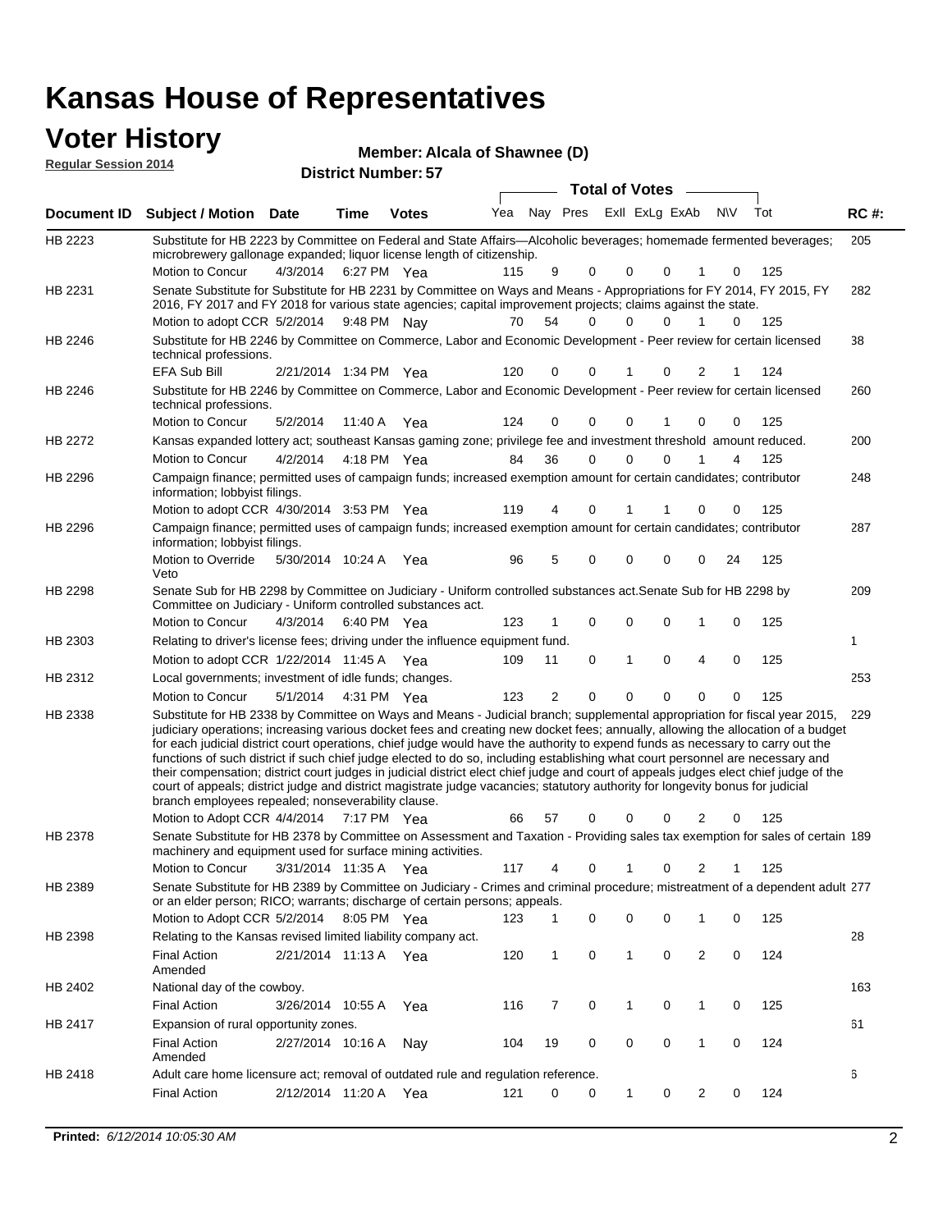| Voter History<br><b>Regular Session 2014</b> |                                                                                                                                                                                                                                                                                                                                                                                                                                                                                                                                                                                                                                                                                                                                                                                                                                                                         |          |                       |                            | Member: Alcala of Shawnee (D) |              |           |                       |                |                         |     |     |             |
|----------------------------------------------|-------------------------------------------------------------------------------------------------------------------------------------------------------------------------------------------------------------------------------------------------------------------------------------------------------------------------------------------------------------------------------------------------------------------------------------------------------------------------------------------------------------------------------------------------------------------------------------------------------------------------------------------------------------------------------------------------------------------------------------------------------------------------------------------------------------------------------------------------------------------------|----------|-----------------------|----------------------------|-------------------------------|--------------|-----------|-----------------------|----------------|-------------------------|-----|-----|-------------|
|                                              |                                                                                                                                                                                                                                                                                                                                                                                                                                                                                                                                                                                                                                                                                                                                                                                                                                                                         |          |                       | <b>District Number: 57</b> |                               |              |           |                       |                |                         |     |     |             |
|                                              |                                                                                                                                                                                                                                                                                                                                                                                                                                                                                                                                                                                                                                                                                                                                                                                                                                                                         |          |                       |                            |                               |              |           | <b>Total of Votes</b> |                |                         |     |     |             |
| Document ID                                  | Subject / Motion Date                                                                                                                                                                                                                                                                                                                                                                                                                                                                                                                                                                                                                                                                                                                                                                                                                                                   |          | Time                  | <b>Votes</b>               |                               | Yea Nay Pres |           |                       | Exll ExLg ExAb |                         | N\V | Tot | <b>RC#:</b> |
| HB 2223                                      | Substitute for HB 2223 by Committee on Federal and State Affairs—Alcoholic beverages; homemade fermented beverages;<br>microbrewery gallonage expanded; liquor license length of citizenship.                                                                                                                                                                                                                                                                                                                                                                                                                                                                                                                                                                                                                                                                           |          |                       |                            |                               |              |           |                       |                |                         |     |     | 205         |
|                                              | Motion to Concur                                                                                                                                                                                                                                                                                                                                                                                                                                                                                                                                                                                                                                                                                                                                                                                                                                                        | 4/3/2014 |                       | 6:27 PM Yea                | 115                           | 9            | 0         | 0                     | 0              | 1                       | 0   | 125 |             |
| HB 2231                                      | Senate Substitute for Substitute for HB 2231 by Committee on Ways and Means - Appropriations for FY 2014, FY 2015, FY<br>2016, FY 2017 and FY 2018 for various state agencies; capital improvement projects; claims against the state.                                                                                                                                                                                                                                                                                                                                                                                                                                                                                                                                                                                                                                  |          |                       |                            |                               |              |           |                       |                |                         |     |     | 282         |
|                                              | Motion to adopt CCR 5/2/2014                                                                                                                                                                                                                                                                                                                                                                                                                                                                                                                                                                                                                                                                                                                                                                                                                                            |          | 9:48 PM Nay           |                            | 70                            | 54           | $\Omega$  | $\Omega$              | 0              |                         | 0   | 125 |             |
| HB 2246                                      | Substitute for HB 2246 by Committee on Commerce, Labor and Economic Development - Peer review for certain licensed<br>technical professions.                                                                                                                                                                                                                                                                                                                                                                                                                                                                                                                                                                                                                                                                                                                            |          |                       |                            |                               |              |           |                       |                |                         |     |     | 38          |
|                                              | <b>EFA Sub Bill</b>                                                                                                                                                                                                                                                                                                                                                                                                                                                                                                                                                                                                                                                                                                                                                                                                                                                     |          | 2/21/2014 1:34 PM Yea |                            | 120                           | 0            | 0         |                       | 0              | 2                       | 1   | 124 |             |
| HB 2246                                      | Substitute for HB 2246 by Committee on Commerce, Labor and Economic Development - Peer review for certain licensed<br>technical professions.                                                                                                                                                                                                                                                                                                                                                                                                                                                                                                                                                                                                                                                                                                                            |          |                       |                            |                               |              |           |                       |                |                         |     |     | 260         |
|                                              | Motion to Concur                                                                                                                                                                                                                                                                                                                                                                                                                                                                                                                                                                                                                                                                                                                                                                                                                                                        | 5/2/2014 |                       | 11:40 A Yea                | 124                           | 0            | 0         | 0                     | 1              | 0                       | 0   | 125 |             |
| HB 2272                                      | Kansas expanded lottery act; southeast Kansas gaming zone; privilege fee and investment threshold amount reduced.                                                                                                                                                                                                                                                                                                                                                                                                                                                                                                                                                                                                                                                                                                                                                       |          |                       |                            |                               |              |           |                       |                |                         |     |     | 200         |
|                                              | Motion to Concur                                                                                                                                                                                                                                                                                                                                                                                                                                                                                                                                                                                                                                                                                                                                                                                                                                                        | 4/2/2014 |                       | 4:18 PM Yea                | 84                            | 36           | $\Omega$  | 0                     | 0              | 1                       | 4   | 125 |             |
| HB 2296                                      | Campaign finance; permitted uses of campaign funds; increased exemption amount for certain candidates; contributor<br>information; lobbyist filings.                                                                                                                                                                                                                                                                                                                                                                                                                                                                                                                                                                                                                                                                                                                    |          |                       |                            |                               |              |           |                       |                |                         |     |     | 248         |
|                                              | Motion to adopt CCR 4/30/2014 3:53 PM Yea                                                                                                                                                                                                                                                                                                                                                                                                                                                                                                                                                                                                                                                                                                                                                                                                                               |          |                       |                            | 119                           |              | 0         | 1                     |                | 0                       | 0   | 125 |             |
| HB 2296                                      | Campaign finance; permitted uses of campaign funds; increased exemption amount for certain candidates; contributor<br>information; lobbyist filings.                                                                                                                                                                                                                                                                                                                                                                                                                                                                                                                                                                                                                                                                                                                    |          |                       |                            |                               |              |           |                       |                |                         |     |     | 287         |
|                                              | Motion to Override<br>Veto                                                                                                                                                                                                                                                                                                                                                                                                                                                                                                                                                                                                                                                                                                                                                                                                                                              |          | 5/30/2014 10:24 A Yea |                            | 96                            | 5            | 0         | 0                     | 0              | 0                       | 24  | 125 |             |
| HB 2298                                      | Senate Sub for HB 2298 by Committee on Judiciary - Uniform controlled substances act. Senate Sub for HB 2298 by<br>Committee on Judiciary - Uniform controlled substances act.                                                                                                                                                                                                                                                                                                                                                                                                                                                                                                                                                                                                                                                                                          |          |                       |                            |                               |              |           |                       |                |                         |     |     | 209         |
|                                              | Motion to Concur                                                                                                                                                                                                                                                                                                                                                                                                                                                                                                                                                                                                                                                                                                                                                                                                                                                        | 4/3/2014 |                       | 6:40 PM Yea                | 123                           | 1            | 0         | 0                     | 0              | 1                       | 0   | 125 |             |
| HB 2303                                      | Relating to driver's license fees; driving under the influence equipment fund.                                                                                                                                                                                                                                                                                                                                                                                                                                                                                                                                                                                                                                                                                                                                                                                          |          |                       |                            |                               |              |           |                       |                |                         |     |     | 1           |
|                                              | Motion to adopt CCR 1/22/2014 11:45 A Yea                                                                                                                                                                                                                                                                                                                                                                                                                                                                                                                                                                                                                                                                                                                                                                                                                               |          |                       |                            | 109                           | 11           | 0         | $\mathbf{1}$          | $\mathbf 0$    | 4                       | 0   | 125 |             |
| HB 2312                                      | Local governments; investment of idle funds; changes.                                                                                                                                                                                                                                                                                                                                                                                                                                                                                                                                                                                                                                                                                                                                                                                                                   |          |                       |                            |                               |              |           |                       |                |                         |     |     | 253         |
|                                              | Motion to Concur                                                                                                                                                                                                                                                                                                                                                                                                                                                                                                                                                                                                                                                                                                                                                                                                                                                        | 5/1/2014 |                       | 4:31 PM Yea                | 123                           | 2            | 0         | 0                     | 0              | 0                       | 0   | 125 |             |
| HB 2338                                      | Substitute for HB 2338 by Committee on Ways and Means - Judicial branch; supplemental appropriation for fiscal year 2015, 229<br>judiciary operations; increasing various docket fees and creating new docket fees; annually, allowing the allocation of a budget<br>for each judicial district court operations, chief judge would have the authority to expend funds as necessary to carry out the<br>functions of such district if such chief judge elected to do so, including establishing what court personnel are necessary and<br>their compensation; district court judges in judicial district elect chief judge and court of appeals judges elect chief judge of the<br>court of appeals; district judge and district magistrate judge vacancies; statutory authority for longevity bonus for judicial<br>branch employees repealed; nonseverability clause. |          |                       |                            |                               |              |           |                       |                |                         |     |     |             |
|                                              | Motion to Adopt CCR 4/4/2014 7:17 PM Yea                                                                                                                                                                                                                                                                                                                                                                                                                                                                                                                                                                                                                                                                                                                                                                                                                                |          |                       |                            | 66                            | 57           | 0         | 0                     | 0              | 2                       | 0   | 125 |             |
| HB 2378                                      | Senate Substitute for HB 2378 by Committee on Assessment and Taxation - Providing sales tax exemption for sales of certain 189<br>machinery and equipment used for surface mining activities.                                                                                                                                                                                                                                                                                                                                                                                                                                                                                                                                                                                                                                                                           |          |                       |                            |                               |              |           |                       |                |                         |     |     |             |
|                                              | Motion to Concur                                                                                                                                                                                                                                                                                                                                                                                                                                                                                                                                                                                                                                                                                                                                                                                                                                                        |          | 3/31/2014 11:35 A Yea |                            | 117                           | 4            | $\pmb{0}$ | 1                     | 0              | $\overline{\mathbf{c}}$ | 1   | 125 |             |
| HB 2389                                      | Senate Substitute for HB 2389 by Committee on Judiciary - Crimes and criminal procedure; mistreatment of a dependent adult 277<br>or an elder person; RICO; warrants; discharge of certain persons; appeals.                                                                                                                                                                                                                                                                                                                                                                                                                                                                                                                                                                                                                                                            |          |                       |                            |                               |              |           |                       |                |                         |     |     |             |
|                                              | Motion to Adopt CCR 5/2/2014                                                                                                                                                                                                                                                                                                                                                                                                                                                                                                                                                                                                                                                                                                                                                                                                                                            |          |                       | 8:05 PM Yea                | 123                           | 1            | 0         | 0                     | 0              | 1                       | 0   | 125 |             |
| HB 2398                                      | Relating to the Kansas revised limited liability company act.                                                                                                                                                                                                                                                                                                                                                                                                                                                                                                                                                                                                                                                                                                                                                                                                           |          |                       |                            |                               |              |           |                       |                |                         |     |     | 28          |
|                                              | <b>Final Action</b>                                                                                                                                                                                                                                                                                                                                                                                                                                                                                                                                                                                                                                                                                                                                                                                                                                                     |          | 2/21/2014 11:13 A Yea |                            | 120                           | 1            | 0         | $\mathbf{1}$          | 0              | $\overline{2}$          | 0   | 124 |             |

Final Action 3/26/2014 10:55 A Yea 116 7 0 1 0 125

2/27/2014 Final Action Nay 124 10:16 A 104 19 0 0 10 0

2/12/2014 Final Action Yea 124 11:20 A 121 0 0 0 20 1

Adult care home licensure act; removal of outdated rule and regulation reference.

HB 2402

HB 2417

HB 2418

Amended

Amended

National day of the cowboy.

Expansion of rural opportunity zones.

163

61

6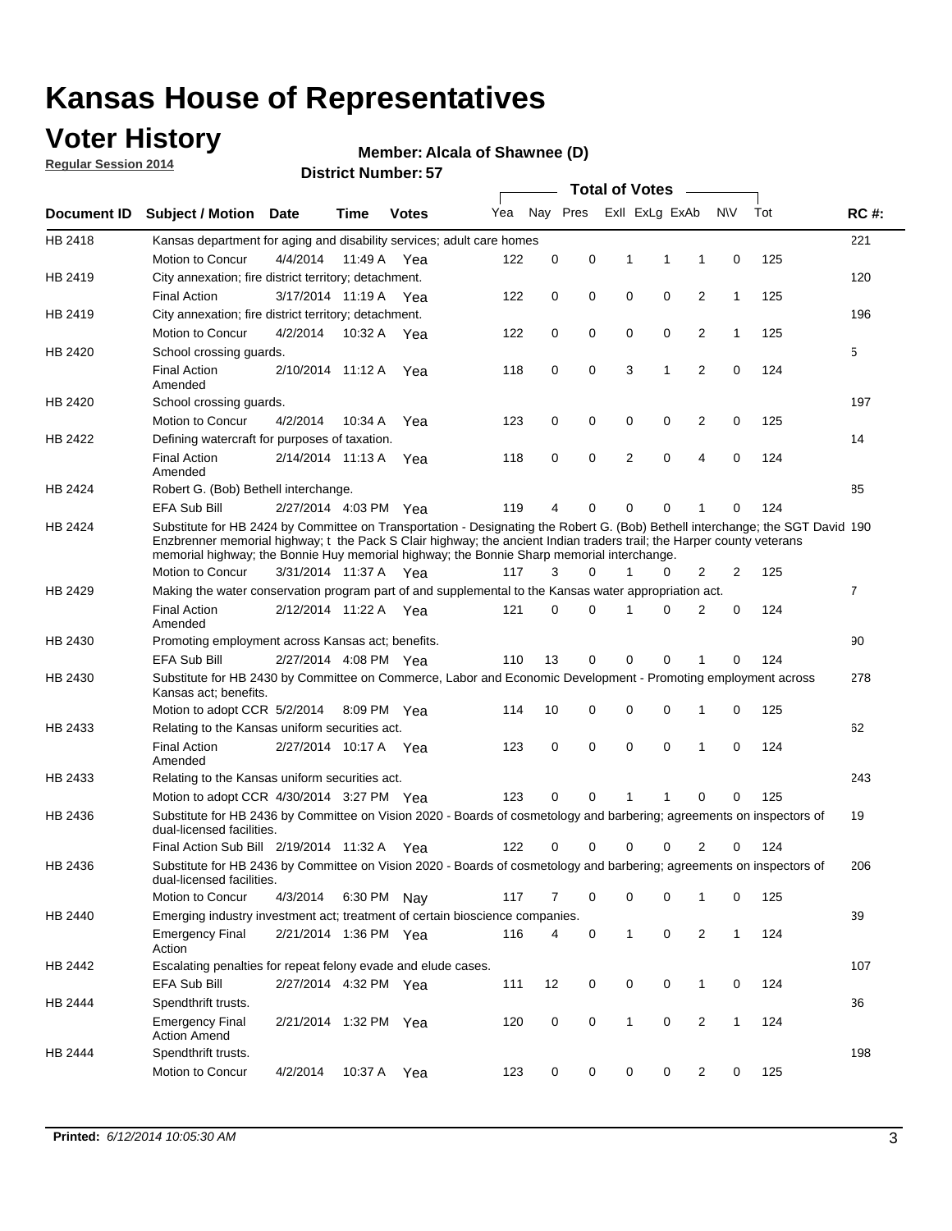### **Voter History**

**Regular Session 2014**

#### **Alcala of Shawnee (D)**

|                    |                                                                                                                                                                                                                                                                                                                                                      |                       |             | <b>DISTRICT MAILINGL. 37</b> |     |          |          |   | <b>Total of Votes</b> | $\sim$         |              |     |                |
|--------------------|------------------------------------------------------------------------------------------------------------------------------------------------------------------------------------------------------------------------------------------------------------------------------------------------------------------------------------------------------|-----------------------|-------------|------------------------------|-----|----------|----------|---|-----------------------|----------------|--------------|-----|----------------|
| <b>Document ID</b> | <b>Subject / Motion</b>                                                                                                                                                                                                                                                                                                                              | Date                  | Time        | <b>Votes</b>                 | Yea |          | Nay Pres |   | Exll ExLg ExAb        |                | <b>NV</b>    | Tot | <b>RC#:</b>    |
| HB 2418            | Kansas department for aging and disability services; adult care homes                                                                                                                                                                                                                                                                                |                       |             |                              |     |          |          |   |                       |                |              |     | 221            |
|                    | Motion to Concur                                                                                                                                                                                                                                                                                                                                     | 4/4/2014              | 11:49 A     | Yea                          | 122 | 0        | 0        | 1 | 1                     | 1              | 0            | 125 |                |
| HB 2419            | City annexation; fire district territory; detachment.                                                                                                                                                                                                                                                                                                |                       |             |                              |     |          |          |   |                       |                |              |     | 120            |
|                    | <b>Final Action</b>                                                                                                                                                                                                                                                                                                                                  | 3/17/2014 11:19 A Yea |             |                              | 122 | 0        | 0        | 0 | 0                     | 2              | $\mathbf{1}$ | 125 |                |
| HB 2419            | City annexation; fire district territory; detachment.                                                                                                                                                                                                                                                                                                |                       |             |                              |     |          |          |   |                       |                |              |     | 196            |
|                    | Motion to Concur                                                                                                                                                                                                                                                                                                                                     | 4/2/2014              | 10:32 A Yea |                              | 122 | 0        | 0        | 0 | 0                     | 2              | $\mathbf{1}$ | 125 |                |
| HB 2420            | School crossing guards.                                                                                                                                                                                                                                                                                                                              |                       |             |                              |     |          |          |   |                       |                |              |     | 5              |
|                    | <b>Final Action</b><br>Amended                                                                                                                                                                                                                                                                                                                       | 2/10/2014 11:12 A     |             | Yea                          | 118 | 0        | 0        | 3 | 1                     | $\overline{2}$ | 0            | 124 |                |
| HB 2420            | School crossing guards.                                                                                                                                                                                                                                                                                                                              |                       |             |                              |     |          |          |   |                       |                |              |     | 197            |
|                    | Motion to Concur                                                                                                                                                                                                                                                                                                                                     | 4/2/2014              | 10:34 A     | Yea                          | 123 | 0        | 0        | 0 | 0                     | 2              | 0            | 125 |                |
| HB 2422            | Defining watercraft for purposes of taxation.                                                                                                                                                                                                                                                                                                        |                       |             |                              |     |          |          |   |                       |                |              |     | 14             |
|                    | <b>Final Action</b><br>Amended                                                                                                                                                                                                                                                                                                                       | 2/14/2014 11:13 A     |             | Yea                          | 118 | 0        | 0        | 2 | $\mathbf 0$           | 4              | 0            | 124 |                |
| HB 2424            | Robert G. (Bob) Bethell interchange.                                                                                                                                                                                                                                                                                                                 |                       |             |                              |     |          |          |   |                       |                |              |     | 85             |
|                    | <b>EFA Sub Bill</b>                                                                                                                                                                                                                                                                                                                                  | 2/27/2014 4:03 PM Yea |             |                              | 119 | 4        | 0        | 0 | $\mathbf 0$           | 1              | 0            | 124 |                |
| HB 2424            | Substitute for HB 2424 by Committee on Transportation - Designating the Robert G. (Bob) Bethell interchange; the SGT David 190<br>Enzbrenner memorial highway; t the Pack S Clair highway; the ancient Indian traders trail; the Harper county veterans<br>memorial highway; the Bonnie Huy memorial highway; the Bonnie Sharp memorial interchange. |                       |             |                              |     |          |          |   |                       |                |              |     |                |
|                    | Motion to Concur                                                                                                                                                                                                                                                                                                                                     | 3/31/2014 11:37 A Yea |             |                              | 117 | 3        | $\Omega$ | 1 | 0                     | 2              | 2            | 125 |                |
| HB 2429            | Making the water conservation program part of and supplemental to the Kansas water appropriation act.                                                                                                                                                                                                                                                |                       |             |                              |     |          |          |   |                       |                |              |     | $\overline{7}$ |
|                    | <b>Final Action</b><br>Amended                                                                                                                                                                                                                                                                                                                       | 2/12/2014 11:22 A Yea |             |                              | 121 | $\Omega$ | 0        | 1 | $\Omega$              | 2              | 0            | 124 |                |
| HB 2430            | Promoting employment across Kansas act; benefits.                                                                                                                                                                                                                                                                                                    |                       |             |                              |     |          |          |   |                       |                |              |     | 90             |
|                    | <b>EFA Sub Bill</b>                                                                                                                                                                                                                                                                                                                                  | 2/27/2014 4:08 PM Yea |             |                              | 110 | 13       | 0        | 0 | 0                     | 1              | 0            | 124 |                |
| HB 2430            | Substitute for HB 2430 by Committee on Commerce, Labor and Economic Development - Promoting employment across<br>Kansas act; benefits.                                                                                                                                                                                                               |                       |             |                              |     |          |          |   |                       |                |              |     | 278            |
|                    | Motion to adopt CCR 5/2/2014                                                                                                                                                                                                                                                                                                                         |                       | 8:09 PM Yea |                              | 114 | 10       | 0        | 0 | 0                     | 1              | 0            | 125 |                |
| HB 2433            | Relating to the Kansas uniform securities act.                                                                                                                                                                                                                                                                                                       |                       |             |                              |     |          |          |   |                       |                |              |     | 62             |
|                    | <b>Final Action</b><br>Amended                                                                                                                                                                                                                                                                                                                       | 2/27/2014 10:17 A Yea |             |                              | 123 | 0        | 0        | 0 | $\mathbf 0$           | 1              | 0            | 124 |                |
| HB 2433            | Relating to the Kansas uniform securities act.                                                                                                                                                                                                                                                                                                       |                       |             |                              |     |          |          |   |                       |                |              |     | 243            |
|                    | Motion to adopt CCR 4/30/2014 3:27 PM Yea                                                                                                                                                                                                                                                                                                            |                       |             |                              | 123 | $\Omega$ | 0        | 1 | 1                     | 0              | 0            | 125 |                |
| HB 2436            | Substitute for HB 2436 by Committee on Vision 2020 - Boards of cosmetology and barbering; agreements on inspectors of<br>dual-licensed facilities.                                                                                                                                                                                                   |                       |             |                              |     |          |          |   |                       |                |              |     | 19             |
|                    | Final Action Sub Bill 2/19/2014 11:32 A                                                                                                                                                                                                                                                                                                              |                       |             | Yea                          | 122 | O        | 0        | 0 | 0                     | 2              | 0            | 124 |                |
| HB 2436            | Substitute for HB 2436 by Committee on Vision 2020 - Boards of cosmetology and barbering; agreements on inspectors of<br>dual-licensed facilities.                                                                                                                                                                                                   |                       |             |                              |     |          |          |   |                       |                |              |     | 206            |
|                    | Motion to Concur                                                                                                                                                                                                                                                                                                                                     | 4/3/2014              | 6:30 PM Nay |                              | 117 | 7        | 0        | 0 | 0                     | $\mathbf{1}$   | 0            | 125 |                |
| HB 2440            | Emerging industry investment act; treatment of certain bioscience companies.                                                                                                                                                                                                                                                                         |                       |             |                              |     |          |          |   |                       |                |              |     | 39             |
|                    | <b>Emergency Final</b><br>Action                                                                                                                                                                                                                                                                                                                     | 2/21/2014 1:36 PM Yea |             |                              | 116 | 4        | 0        | 1 | 0                     | 2              | $\mathbf{1}$ | 124 |                |
| HB 2442            | Escalating penalties for repeat felony evade and elude cases.                                                                                                                                                                                                                                                                                        |                       |             |                              |     |          |          |   |                       |                |              |     | 107            |
|                    | EFA Sub Bill                                                                                                                                                                                                                                                                                                                                         | 2/27/2014 4:32 PM Yea |             |                              | 111 | 12       | 0        | 0 | 0                     | $\mathbf{1}$   | 0            | 124 |                |
| HB 2444            | Spendthrift trusts.                                                                                                                                                                                                                                                                                                                                  |                       |             |                              |     |          |          |   |                       |                |              |     | 36             |
|                    | <b>Emergency Final</b><br><b>Action Amend</b>                                                                                                                                                                                                                                                                                                        | 2/21/2014 1:32 PM Yea |             |                              | 120 | 0        | 0        | 1 | 0                     | $\overline{2}$ | $\mathbf{1}$ | 124 |                |
| HB 2444            | Spendthrift trusts.                                                                                                                                                                                                                                                                                                                                  |                       |             |                              |     |          |          |   |                       |                |              |     | 198            |
|                    | Motion to Concur                                                                                                                                                                                                                                                                                                                                     | 4/2/2014              | 10:37 A Yea |                              | 123 | 0        | 0        | 0 | 0                     | $\overline{2}$ | 0            | 125 |                |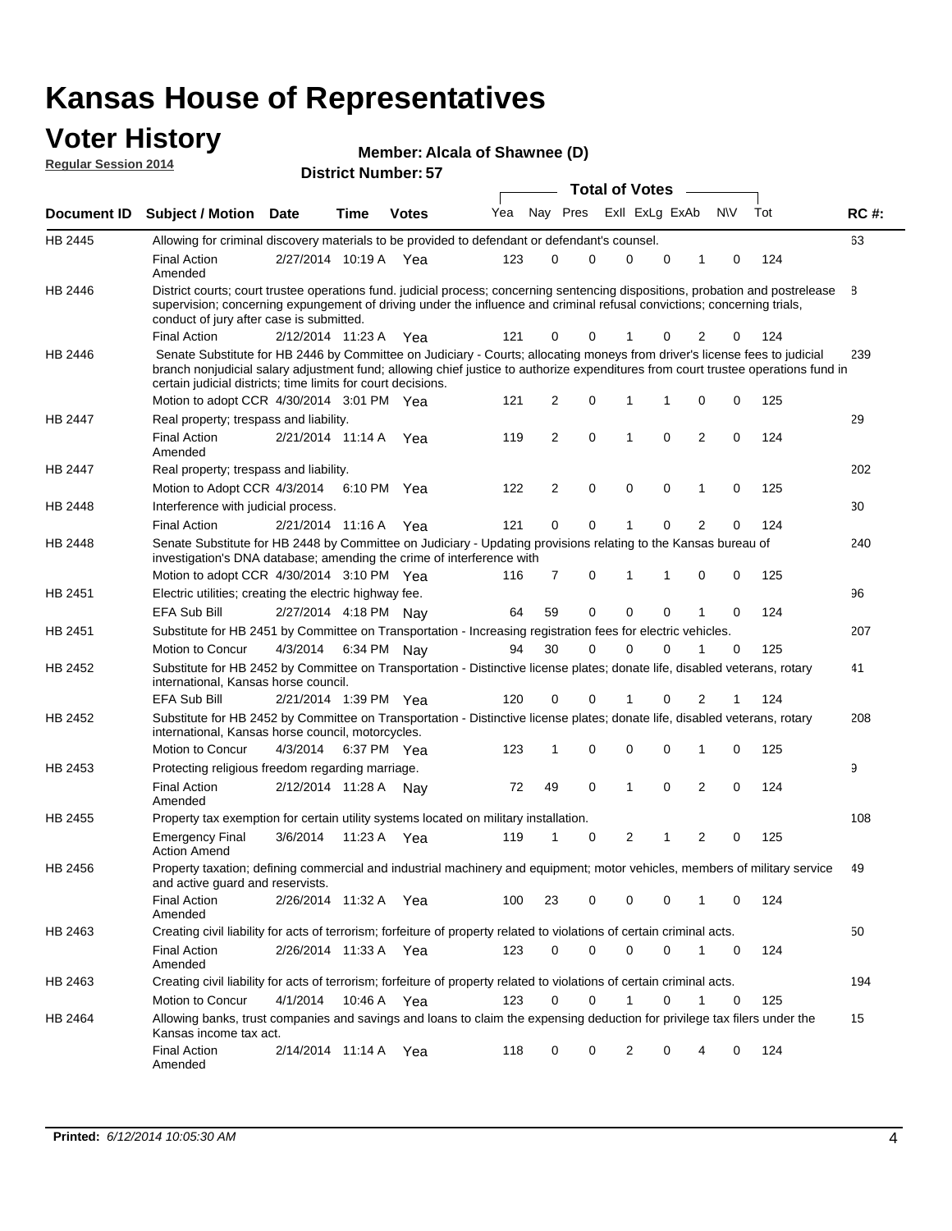#### **Voter History Regular Session 2014**

| Member: Alcala of Shawnee (D) |  |
|-------------------------------|--|
|-------------------------------|--|

|                    |                                                                                                                                                                                                                                                                                                                                 |                       |             |              |     |          |   | <b>Total of Votes</b> |             |              |             |     |             |
|--------------------|---------------------------------------------------------------------------------------------------------------------------------------------------------------------------------------------------------------------------------------------------------------------------------------------------------------------------------|-----------------------|-------------|--------------|-----|----------|---|-----------------------|-------------|--------------|-------------|-----|-------------|
| <b>Document ID</b> | <b>Subject / Motion</b>                                                                                                                                                                                                                                                                                                         | Date                  | Time        | <b>Votes</b> | Yea | Nay Pres |   | Exll ExLg ExAb        |             |              | <b>NV</b>   | Tot | <b>RC#:</b> |
| HB 2445            | Allowing for criminal discovery materials to be provided to defendant or defendant's counsel.                                                                                                                                                                                                                                   |                       |             |              |     |          |   |                       |             |              |             |     | 63          |
|                    | <b>Final Action</b><br>Amended                                                                                                                                                                                                                                                                                                  | 2/27/2014 10:19 A     |             | Yea          | 123 | 0        | 0 | 0                     | $\Omega$    | 1            | $\mathbf 0$ | 124 |             |
| HB 2446            | District courts; court trustee operations fund. judicial process; concerning sentencing dispositions, probation and postrelease<br>supervision; concerning expungement of driving under the influence and criminal refusal convictions; concerning trials,<br>conduct of jury after case is submitted.                          |                       |             |              |     |          |   |                       |             |              |             |     | 8           |
|                    | <b>Final Action</b>                                                                                                                                                                                                                                                                                                             | 2/12/2014 11:23 A     |             | Yea          | 121 | 0        | 0 | 1                     | 0           | 2            | 0           | 124 |             |
| HB 2446            | Senate Substitute for HB 2446 by Committee on Judiciary - Courts; allocating moneys from driver's license fees to judicial<br>branch nonjudicial salary adjustment fund; allowing chief justice to authorize expenditures from court trustee operations fund in<br>certain judicial districts; time limits for court decisions. |                       |             |              |     |          |   |                       |             |              |             |     | 239         |
|                    | Motion to adopt CCR 4/30/2014 3:01 PM Yea                                                                                                                                                                                                                                                                                       |                       |             |              | 121 | 2        | 0 | 1                     | 1           | 0            | 0           | 125 |             |
| <b>HB 2447</b>     | Real property; trespass and liability.                                                                                                                                                                                                                                                                                          |                       |             |              |     |          |   |                       |             |              |             |     | 29          |
|                    | <b>Final Action</b><br>Amended                                                                                                                                                                                                                                                                                                  | 2/21/2014 11:14 A     |             | Yea          | 119 | 2        | 0 | 1                     | 0           | 2            | 0           | 124 |             |
| HB 2447            | Real property; trespass and liability.                                                                                                                                                                                                                                                                                          |                       |             |              |     |          |   |                       |             |              |             |     | 202         |
|                    | Motion to Adopt CCR 4/3/2014                                                                                                                                                                                                                                                                                                    |                       |             | 6:10 PM Yea  | 122 | 2        | 0 | $\mathbf 0$           | $\mathbf 0$ | 1            | $\mathbf 0$ | 125 |             |
| HB 2448            | Interference with judicial process.                                                                                                                                                                                                                                                                                             |                       |             |              |     |          |   |                       |             |              |             |     | 30          |
|                    | <b>Final Action</b>                                                                                                                                                                                                                                                                                                             | 2/21/2014 11:16 A     |             | Yea          | 121 | 0        | 0 | 1                     | 0           | 2            | 0           | 124 |             |
| HB 2448            | Senate Substitute for HB 2448 by Committee on Judiciary - Updating provisions relating to the Kansas bureau of<br>investigation's DNA database; amending the crime of interference with                                                                                                                                         |                       |             |              |     |          |   |                       |             |              |             |     | 240         |
|                    | Motion to adopt CCR 4/30/2014 3:10 PM Yea                                                                                                                                                                                                                                                                                       |                       |             |              | 116 | 7        | 0 | 1                     | 1           | $\mathbf 0$  | 0           | 125 |             |
| HB 2451            | Electric utilities; creating the electric highway fee.                                                                                                                                                                                                                                                                          |                       |             |              |     |          |   |                       |             |              |             |     | 96          |
|                    | <b>EFA Sub Bill</b>                                                                                                                                                                                                                                                                                                             | 2/27/2014 4:18 PM Nay |             |              | 64  | 59       | 0 | 0                     | 0           |              | 0           | 124 |             |
| HB 2451            | Substitute for HB 2451 by Committee on Transportation - Increasing registration fees for electric vehicles.                                                                                                                                                                                                                     |                       |             |              |     |          |   |                       |             |              |             |     | 207         |
|                    | Motion to Concur                                                                                                                                                                                                                                                                                                                | 4/3/2014              |             | 6:34 PM Nay  | 94  | 30       | 0 | 0                     | 0           |              | 0           | 125 |             |
| HB 2452            | Substitute for HB 2452 by Committee on Transportation - Distinctive license plates; donate life, disabled veterans, rotary<br>international, Kansas horse council.                                                                                                                                                              |                       |             |              |     |          |   |                       |             |              |             |     | 41          |
|                    | <b>EFA Sub Bill</b>                                                                                                                                                                                                                                                                                                             | 2/21/2014 1:39 PM Yea |             |              | 120 | 0        | 0 | 1                     | 0           | 2            | 1           | 124 |             |
| HB 2452            | Substitute for HB 2452 by Committee on Transportation - Distinctive license plates; donate life, disabled veterans, rotary<br>international, Kansas horse council, motorcycles.                                                                                                                                                 |                       |             |              |     |          |   |                       |             |              |             |     | 208         |
|                    | Motion to Concur                                                                                                                                                                                                                                                                                                                | 4/3/2014              |             | 6:37 PM Yea  | 123 | 1        | 0 | 0                     | 0           | 1            | 0           | 125 |             |
| HB 2453            | Protecting religious freedom regarding marriage.                                                                                                                                                                                                                                                                                |                       |             |              |     |          |   |                       |             |              |             |     | 9           |
|                    | <b>Final Action</b><br>Amended                                                                                                                                                                                                                                                                                                  | 2/12/2014 11:28 A Nay |             |              | 72  | 49       | 0 | 1                     | 0           | 2            | 0           | 124 |             |
| HB 2455            | Property tax exemption for certain utility systems located on military installation.                                                                                                                                                                                                                                            |                       |             |              |     |          |   |                       |             |              |             |     | 108         |
|                    | <b>Emergency Final</b><br><b>Action Amend</b>                                                                                                                                                                                                                                                                                   | 3/6/2014              |             | 11:23 A Yea  | 119 | 1        | 0 | 2                     | 1           | 2            | $\mathbf 0$ | 125 |             |
| HB 2456            | Property taxation; defining commercial and industrial machinery and equipment; motor vehicles, members of military service<br>and active guard and reservists.                                                                                                                                                                  |                       |             |              |     |          |   |                       |             |              |             |     | 49          |
|                    | <b>Final Action</b><br>Amended                                                                                                                                                                                                                                                                                                  | 2/26/2014 11:32 A Yea |             |              | 100 | 23       | 0 | 0                     | 0           | 1            | 0           | 124 |             |
| HB 2463            | Creating civil liability for acts of terrorism; forfeiture of property related to violations of certain criminal acts.                                                                                                                                                                                                          |                       |             |              |     |          |   |                       |             |              |             |     | 50          |
|                    | <b>Final Action</b><br>Amended                                                                                                                                                                                                                                                                                                  | 2/26/2014 11:33 A Yea |             |              | 123 | 0        | 0 | 0                     | 0           | $\mathbf{1}$ | 0           | 124 |             |
| HB 2463            | Creating civil liability for acts of terrorism; forfeiture of property related to violations of certain criminal acts.                                                                                                                                                                                                          |                       |             |              |     |          |   |                       |             |              |             |     | 194         |
|                    | Motion to Concur                                                                                                                                                                                                                                                                                                                | 4/1/2014              | 10:46 A Yea |              | 123 | 0        | 0 | $\mathbf{1}$          | 0           | 1            | 0           | 125 |             |
| HB 2464            | Allowing banks, trust companies and savings and loans to claim the expensing deduction for privilege tax filers under the<br>Kansas income tax act.                                                                                                                                                                             |                       |             |              |     |          |   |                       |             |              |             |     | 15          |
|                    | <b>Final Action</b><br>Amended                                                                                                                                                                                                                                                                                                  | 2/14/2014 11:14 A Yea |             |              | 118 | 0        | 0 | 2                     | 0           | 4            | 0           | 124 |             |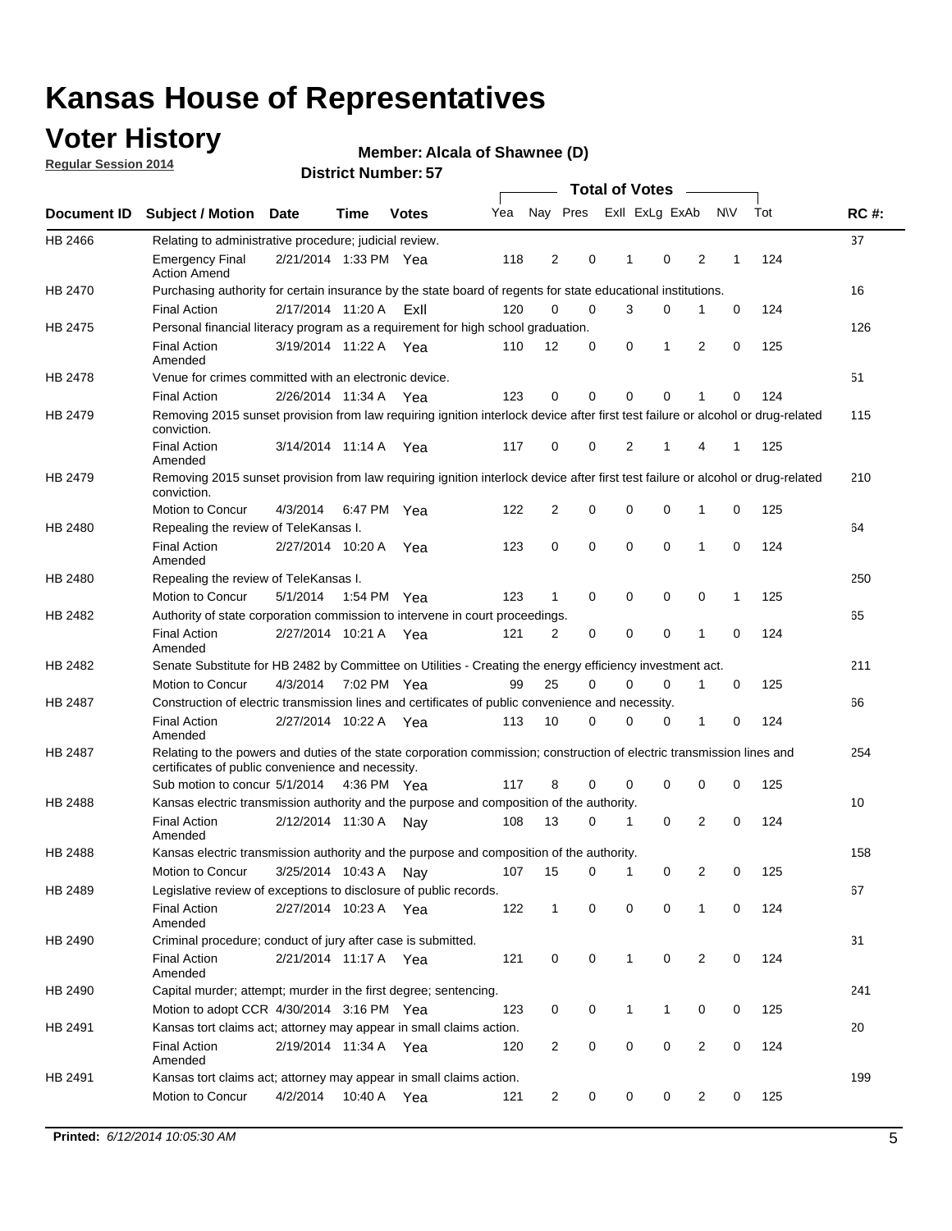### **Voter History**

**Regular Session 2014**

#### **Alcala of Shawnee (D)**

|         |                                                                                                                                                                             |                        |             |              |     |                |             |              | <b>Total of Votes</b> |                |             |     |             |
|---------|-----------------------------------------------------------------------------------------------------------------------------------------------------------------------------|------------------------|-------------|--------------|-----|----------------|-------------|--------------|-----------------------|----------------|-------------|-----|-------------|
|         | Document ID Subject / Motion Date                                                                                                                                           |                        | Time        | <b>Votes</b> | Yea | Nay Pres       |             |              | Exll ExLg ExAb        |                | <b>NV</b>   | Tot | <b>RC#:</b> |
| HB 2466 | Relating to administrative procedure; judicial review.                                                                                                                      |                        |             |              |     |                |             |              |                       |                |             |     | 37          |
|         | <b>Emergency Final</b><br><b>Action Amend</b>                                                                                                                               | 2/21/2014 1:33 PM Yea  |             |              | 118 | $\overline{2}$ | 0           | 1            | 0                     | $\overline{2}$ | 1           | 124 |             |
| HB 2470 | Purchasing authority for certain insurance by the state board of regents for state educational institutions.                                                                |                        |             |              |     |                |             |              |                       |                |             |     | 16          |
|         | <b>Final Action</b>                                                                                                                                                         | 2/17/2014 11:20 A ExII |             |              | 120 | 0              | 0           | 3            | 0                     | 1              | 0           | 124 |             |
| HB 2475 | Personal financial literacy program as a requirement for high school graduation.                                                                                            |                        |             |              |     |                |             |              |                       |                |             |     | 126         |
|         | <b>Final Action</b><br>Amended                                                                                                                                              | 3/19/2014 11:22 A Yea  |             |              | 110 | 12             | 0           | 0            | 1                     | 2              | 0           | 125 |             |
| HB 2478 | Venue for crimes committed with an electronic device.                                                                                                                       |                        |             |              |     |                |             |              |                       |                |             |     | 51          |
|         | <b>Final Action</b>                                                                                                                                                         | 2/26/2014 11:34 A      |             | Yea          | 123 | 0              | 0           | 0            | $\mathbf 0$           | 1              | 0           | 124 |             |
| HB 2479 | Removing 2015 sunset provision from law requiring ignition interlock device after first test failure or alcohol or drug-related<br>conviction.                              |                        |             |              |     |                |             |              |                       |                |             |     | 115         |
|         | <b>Final Action</b><br>Amended                                                                                                                                              | 3/14/2014 11:14 A      |             | Yea          | 117 | 0              | 0           | 2            | 1                     | 4              | 1           | 125 |             |
| HB 2479 | Removing 2015 sunset provision from law requiring ignition interlock device after first test failure or alcohol or drug-related<br>conviction.                              |                        |             |              |     |                |             |              |                       |                |             |     | 210         |
|         | Motion to Concur                                                                                                                                                            | 4/3/2014               | 6:47 PM Yea |              | 122 | 2              | 0           | 0            | $\mathbf 0$           | 1              | 0           | 125 |             |
| HB 2480 | Repealing the review of TeleKansas I.                                                                                                                                       |                        |             |              |     |                |             |              |                       |                |             |     | 64          |
|         | <b>Final Action</b><br>Amended                                                                                                                                              | 2/27/2014 10:20 A Yea  |             |              | 123 | 0              | 0           | 0            | $\mathbf 0$           | 1              | 0           | 124 |             |
| HB 2480 | Repealing the review of TeleKansas I.                                                                                                                                       |                        |             |              |     |                |             |              |                       |                |             |     | 250         |
|         | Motion to Concur                                                                                                                                                            | 5/1/2014               | 1:54 PM Yea |              | 123 | $\mathbf{1}$   | $\mathbf 0$ | $\mathbf 0$  | $\mathbf 0$           | 0              | 1           | 125 |             |
| HB 2482 | Authority of state corporation commission to intervene in court proceedings.                                                                                                |                        |             |              |     |                |             |              |                       |                |             |     | 65          |
|         | <b>Final Action</b><br>Amended                                                                                                                                              | 2/27/2014 10:21 A      |             | Yea          | 121 | 2              | 0           | $\mathbf 0$  | $\mathbf 0$           | 1              | $\mathbf 0$ | 124 |             |
| HB 2482 | Senate Substitute for HB 2482 by Committee on Utilities - Creating the energy efficiency investment act.                                                                    |                        |             |              |     |                |             |              |                       |                |             |     | 211         |
|         | Motion to Concur                                                                                                                                                            | 4/3/2014 7:02 PM Yea   |             |              | 99  | 25             | 0           | 0            | 0                     | 1              | 0           | 125 |             |
| HB 2487 | Construction of electric transmission lines and certificates of public convenience and necessity.                                                                           |                        |             |              |     |                |             |              |                       |                |             |     | 66          |
|         | <b>Final Action</b><br>Amended                                                                                                                                              | 2/27/2014 10:22 A Yea  |             |              | 113 | 10             | 0           | 0            | 0                     | 1              | 0           | 124 |             |
| HB 2487 | Relating to the powers and duties of the state corporation commission; construction of electric transmission lines and<br>certificates of public convenience and necessity. |                        |             |              |     |                |             |              |                       |                |             |     | 254         |
|         | Sub motion to concur 5/1/2014 4:36 PM Yea                                                                                                                                   |                        |             |              | 117 | 8              | 0           | 0            | 0                     | 0              | 0           | 125 |             |
| HB 2488 | Kansas electric transmission authority and the purpose and composition of the authority.                                                                                    |                        |             |              |     |                |             |              |                       |                |             |     | 10          |
|         | <b>Final Action</b><br>Amended                                                                                                                                              | 2/12/2014 11:30 A Nay  |             |              | 108 | 13             | 0           | 1            | $\mathbf 0$           | 2              | 0           | 124 |             |
| HB 2488 | Kansas electric transmission authority and the purpose and composition of the authority.                                                                                    |                        |             |              |     |                |             |              |                       |                |             |     | 158         |
|         | Motion to Concur                                                                                                                                                            | 3/25/2014 10:43 A      |             | Nay          | 107 | 15             | 0           | 1            | 0                     | 2              | 0           | 125 |             |
| HB 2489 | Legislative review of exceptions to disclosure of public records.                                                                                                           |                        |             |              |     |                |             |              |                       |                |             |     | 67          |
|         | <b>Final Action</b><br>Amended                                                                                                                                              | 2/27/2014 10:23 A Yea  |             |              | 122 | $\mathbf{1}$   | 0           | 0            | 0                     | 1              | 0           | 124 |             |
| HB 2490 | Criminal procedure; conduct of jury after case is submitted.                                                                                                                |                        |             |              |     |                |             |              |                       |                |             |     | 31          |
|         | <b>Final Action</b><br>Amended                                                                                                                                              | 2/21/2014 11:17 A Yea  |             |              | 121 | 0              | 0           | $\mathbf{1}$ | $\mathbf 0$           | $\overline{2}$ | 0           | 124 |             |
| HB 2490 | Capital murder; attempt; murder in the first degree; sentencing.                                                                                                            |                        |             |              |     |                |             |              |                       |                |             |     | 241         |
|         | Motion to adopt CCR 4/30/2014 3:16 PM Yea                                                                                                                                   |                        |             |              | 123 | 0              | 0           | 1            | 1                     | 0              | 0           | 125 |             |
| HB 2491 | Kansas tort claims act; attorney may appear in small claims action.                                                                                                         |                        |             |              |     |                |             |              |                       |                |             |     | 20          |
|         | <b>Final Action</b><br>Amended                                                                                                                                              | 2/19/2014 11:34 A Yea  |             |              | 120 | 2              | 0           | 0            | $\pmb{0}$             | $\overline{2}$ | 0           | 124 |             |
| HB 2491 | Kansas tort claims act; attorney may appear in small claims action.                                                                                                         |                        |             |              |     |                |             |              |                       |                |             |     | 199         |
|         | Motion to Concur                                                                                                                                                            | 4/2/2014               |             | 10:40 A Yea  | 121 | 2              | 0           | 0            | 0                     | $\overline{2}$ | 0           | 125 |             |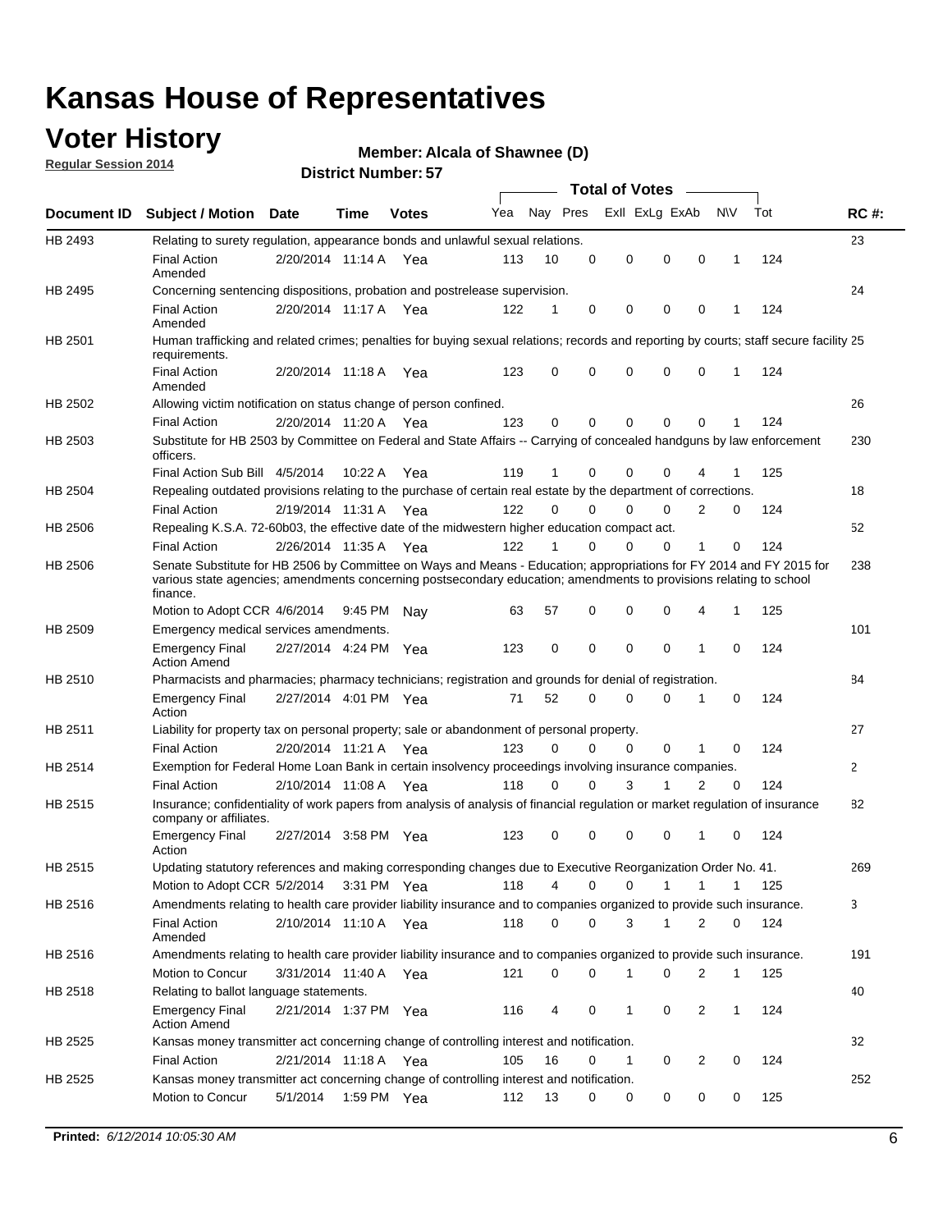### **Voter History**

**Regular Session 2014**

#### **Alcala of Shawnee (D)**

|                    |                                                                                                                                                                                                                                                        |                       |             |              |     |          |          | <b>Total of Votes</b> |              |                |              |     |              |
|--------------------|--------------------------------------------------------------------------------------------------------------------------------------------------------------------------------------------------------------------------------------------------------|-----------------------|-------------|--------------|-----|----------|----------|-----------------------|--------------|----------------|--------------|-----|--------------|
| <b>Document ID</b> | <b>Subject / Motion Date</b>                                                                                                                                                                                                                           |                       | Time        | <b>Votes</b> | Yea | Nay Pres |          | Exll ExLg ExAb        |              |                | <b>NV</b>    | Tot | <b>RC#:</b>  |
| HB 2493            | Relating to surety regulation, appearance bonds and unlawful sexual relations.                                                                                                                                                                         |                       |             |              |     |          |          |                       |              |                |              |     | 23           |
|                    | <b>Final Action</b><br>Amended                                                                                                                                                                                                                         | 2/20/2014 11:14 A     |             | Yea          | 113 | 10       | 0        | 0                     | $\mathbf 0$  | 0              | $\mathbf 1$  | 124 |              |
| HB 2495            | Concerning sentencing dispositions, probation and postrelease supervision.                                                                                                                                                                             |                       |             |              |     |          |          |                       |              |                |              |     | 24           |
|                    | <b>Final Action</b><br>Amended                                                                                                                                                                                                                         | 2/20/2014 11:17 A Yea |             |              | 122 | 1        | 0        | 0                     | $\mathbf 0$  | $\mathbf 0$    | -1           | 124 |              |
| HB 2501            | Human trafficking and related crimes; penalties for buying sexual relations; records and reporting by courts; staff secure facility 25<br>requirements.                                                                                                |                       |             |              |     |          |          |                       |              |                |              |     |              |
|                    | <b>Final Action</b><br>Amended                                                                                                                                                                                                                         | 2/20/2014 11:18 A Yea |             |              | 123 | $\Omega$ | 0        | 0                     | $\Omega$     | $\mathbf 0$    | 1            | 124 |              |
| HB 2502            | Allowing victim notification on status change of person confined.                                                                                                                                                                                      |                       |             |              |     |          |          |                       |              |                |              |     | 26           |
|                    | <b>Final Action</b>                                                                                                                                                                                                                                    | 2/20/2014 11:20 A Yea |             |              | 123 | $\Omega$ | 0        | $\mathbf{0}$          | $\Omega$     | $\Omega$       |              | 124 |              |
| HB 2503            | Substitute for HB 2503 by Committee on Federal and State Affairs -- Carrying of concealed handguns by law enforcement<br>officers.                                                                                                                     |                       |             |              |     |          |          |                       |              |                |              |     | 230          |
|                    | Final Action Sub Bill 4/5/2014                                                                                                                                                                                                                         |                       | 10:22 A     | Yea          | 119 |          | 0        | 0                     | 0            | 4              |              | 125 |              |
| HB 2504            | Repealing outdated provisions relating to the purchase of certain real estate by the department of corrections.                                                                                                                                        |                       |             |              |     |          |          |                       |              |                |              |     | 18           |
|                    | <b>Final Action</b>                                                                                                                                                                                                                                    | 2/19/2014 11:31 A Yea |             |              | 122 | $\Omega$ | $\Omega$ | 0                     | $\mathbf{0}$ | $\overline{2}$ | 0            | 124 |              |
| HB 2506            | Repealing K.S.A. 72-60b03, the effective date of the midwestern higher education compact act.                                                                                                                                                          |                       |             |              |     |          |          |                       |              |                |              |     | 52           |
|                    | <b>Final Action</b>                                                                                                                                                                                                                                    | 2/26/2014 11:35 A Yea |             |              | 122 |          | $\Omega$ | 0                     | 0            | 1              | 0            | 124 |              |
| HB 2506            | Senate Substitute for HB 2506 by Committee on Ways and Means - Education; appropriations for FY 2014 and FY 2015 for<br>various state agencies; amendments concerning postsecondary education; amendments to provisions relating to school<br>finance. |                       |             |              |     |          |          |                       |              |                |              |     | 238          |
|                    | Motion to Adopt CCR 4/6/2014                                                                                                                                                                                                                           |                       | 9:45 PM Nav |              | 63  | 57       | 0        | 0                     | 0            | 4              | -1           | 125 |              |
| HB 2509            | Emergency medical services amendments.                                                                                                                                                                                                                 |                       |             |              |     |          |          |                       |              |                |              |     | 101          |
|                    | Emergency Final<br><b>Action Amend</b>                                                                                                                                                                                                                 | 2/27/2014 4:24 PM Yea |             |              | 123 | 0        | 0        | $\mathbf 0$           | 0            | 1              | 0            | 124 |              |
| HB 2510            | Pharmacists and pharmacies; pharmacy technicians; registration and grounds for denial of registration.                                                                                                                                                 |                       |             |              |     |          |          |                       |              |                |              |     | 84           |
|                    | <b>Emergency Final</b><br>Action                                                                                                                                                                                                                       | 2/27/2014 4:01 PM Yea |             |              | 71  | 52       | 0        | 0                     | 0            | 1              | 0            | 124 |              |
| HB 2511            | Liability for property tax on personal property; sale or abandonment of personal property.                                                                                                                                                             |                       |             |              |     |          |          |                       |              |                |              |     | 27           |
|                    | <b>Final Action</b>                                                                                                                                                                                                                                    | 2/20/2014 11:21 A     |             | Yea          | 123 | $\Omega$ | $\Omega$ | 0                     | 0            | 1              | 0            | 124 |              |
| HB 2514            | Exemption for Federal Home Loan Bank in certain insolvency proceedings involving insurance companies.                                                                                                                                                  |                       |             |              |     |          |          |                       |              |                |              |     | $\mathbf{2}$ |
|                    | <b>Final Action</b>                                                                                                                                                                                                                                    | 2/10/2014 11:08 A     |             | Yea          | 118 | $\Omega$ | $\Omega$ | 3                     | 1            | 2              | $\mathbf 0$  | 124 |              |
| HB 2515            | Insurance; confidentiality of work papers from analysis of analysis of financial regulation or market regulation of insurance<br>company or affiliates.                                                                                                |                       |             |              |     |          |          |                       |              |                |              |     | 82           |
|                    | <b>Emergency Final</b><br>Action                                                                                                                                                                                                                       | 2/27/2014 3:58 PM Yea |             |              | 123 | 0        | 0        | 0                     | 0            | 1              | 0            | 124 |              |
| HB 2515            | Updating statutory references and making corresponding changes due to Executive Reorganization Order No. 41.                                                                                                                                           |                       |             |              |     |          |          |                       |              |                |              |     | 269          |
|                    | Motion to Adopt CCR 5/2/2014 3:31 PM Yea                                                                                                                                                                                                               |                       |             |              | 118 | 4        | 0        | 0                     | $\mathbf{1}$ | $\mathbf{1}$   | $\mathbf{1}$ | 125 |              |
| HB 2516            | Amendments relating to health care provider liability insurance and to companies organized to provide such insurance.                                                                                                                                  |                       |             |              |     |          |          |                       |              |                |              |     | 3            |
|                    | <b>Final Action</b><br>Amended                                                                                                                                                                                                                         | 2/10/2014 11:10 A Yea |             |              | 118 | 0        | 0        | 3                     | 1            | 2              | 0            | 124 |              |
| HB 2516            | Amendments relating to health care provider liability insurance and to companies organized to provide such insurance.                                                                                                                                  |                       |             |              |     |          |          |                       |              |                |              |     | 191          |
|                    | Motion to Concur                                                                                                                                                                                                                                       | 3/31/2014 11:40 A Yea |             |              | 121 | 0        | 0        | 1                     | 0            | 2              | $\mathbf{1}$ | 125 |              |
| HB 2518            | Relating to ballot language statements.                                                                                                                                                                                                                |                       |             |              |     |          |          |                       |              |                |              |     | 40           |
|                    | Emergency Final<br><b>Action Amend</b>                                                                                                                                                                                                                 | 2/21/2014 1:37 PM Yea |             |              | 116 | 4        | 0        | 1                     | 0            | 2              | 1            | 124 |              |
| HB 2525            | Kansas money transmitter act concerning change of controlling interest and notification.                                                                                                                                                               |                       |             |              |     |          |          |                       |              |                |              |     | 32           |
|                    | <b>Final Action</b>                                                                                                                                                                                                                                    | 2/21/2014 11:18 A Yea |             |              | 105 | 16       | 0        | $\mathbf{1}$          | 0            | 2              | 0            | 124 |              |
| HB 2525            | Kansas money transmitter act concerning change of controlling interest and notification.                                                                                                                                                               |                       |             |              |     |          |          |                       |              |                |              |     | 252          |
|                    | Motion to Concur                                                                                                                                                                                                                                       | 5/1/2014              |             | 1:59 PM Yea  | 112 | 13       | 0        | 0                     | 0            | 0              | 0            | 125 |              |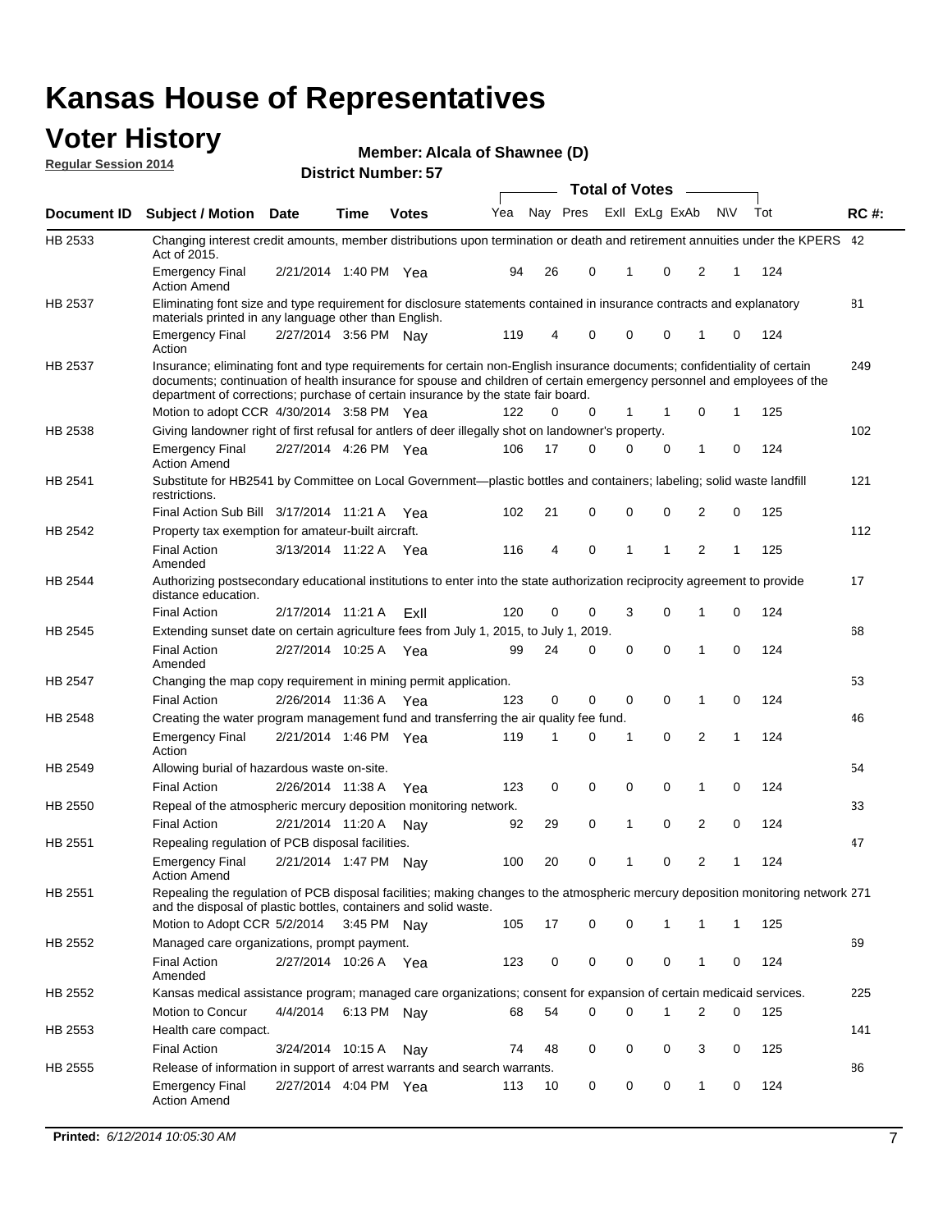#### **Voter History Regular Session 2014**

| Member: Alcala of Shawnee (D) |  |  |
|-------------------------------|--|--|
|-------------------------------|--|--|

|                    |                                                                                                                                                                                                                                                                                                                                           |                       |             |              |     |    |                         | <b>Total of Votes</b> |          |                |           |     |             |
|--------------------|-------------------------------------------------------------------------------------------------------------------------------------------------------------------------------------------------------------------------------------------------------------------------------------------------------------------------------------------|-----------------------|-------------|--------------|-----|----|-------------------------|-----------------------|----------|----------------|-----------|-----|-------------|
| <b>Document ID</b> | <b>Subject / Motion Date</b>                                                                                                                                                                                                                                                                                                              |                       | Time        | <b>Votes</b> | Yea |    | Nay Pres Exll ExLg ExAb |                       |          |                | <b>NV</b> | Tot | <b>RC#:</b> |
| HB 2533            | Changing interest credit amounts, member distributions upon termination or death and retirement annuities under the KPERS 42<br>Act of 2015.                                                                                                                                                                                              |                       |             |              |     |    |                         |                       |          |                |           |     |             |
|                    | <b>Emergency Final</b><br><b>Action Amend</b>                                                                                                                                                                                                                                                                                             | 2/21/2014 1:40 PM Yea |             |              | 94  | 26 | 0                       | 1                     | 0        | 2              | 1         | 124 |             |
| HB 2537            | Eliminating font size and type requirement for disclosure statements contained in insurance contracts and explanatory<br>materials printed in any language other than English.                                                                                                                                                            |                       |             |              |     |    |                         |                       |          |                |           |     | 81          |
|                    | <b>Emergency Final</b><br>Action                                                                                                                                                                                                                                                                                                          | 2/27/2014 3:56 PM Nay |             |              | 119 | 4  | 0                       | 0                     | 0        | 1              | 0         | 124 |             |
| HB 2537            | Insurance; eliminating font and type requirements for certain non-English insurance documents; confidentiality of certain<br>documents; continuation of health insurance for spouse and children of certain emergency personnel and employees of the<br>department of corrections; purchase of certain insurance by the state fair board. |                       |             |              |     |    |                         |                       |          |                |           |     | 249         |
|                    | Motion to adopt CCR 4/30/2014 3:58 PM Yea                                                                                                                                                                                                                                                                                                 |                       |             |              | 122 | 0  | 0                       | 1                     | 1        | 0              | 1         | 125 |             |
| HB 2538            | Giving landowner right of first refusal for antlers of deer illegally shot on landowner's property.                                                                                                                                                                                                                                       |                       |             |              |     |    |                         |                       |          |                |           |     | 102         |
|                    | <b>Emergency Final</b><br><b>Action Amend</b>                                                                                                                                                                                                                                                                                             | 2/27/2014 4:26 PM Yea |             |              | 106 | 17 | 0                       | 0                     | 0        | 1              | 0         | 124 |             |
| HB 2541            | Substitute for HB2541 by Committee on Local Government—plastic bottles and containers; labeling; solid waste landfill<br>restrictions.                                                                                                                                                                                                    |                       |             |              |     |    |                         |                       |          |                |           |     | 121         |
|                    | Final Action Sub Bill 3/17/2014 11:21 A Yea                                                                                                                                                                                                                                                                                               |                       |             |              | 102 | 21 | 0                       | 0                     | 0        | 2              | 0         | 125 |             |
| HB 2542            | Property tax exemption for amateur-built aircraft.                                                                                                                                                                                                                                                                                        |                       |             |              |     |    |                         |                       |          |                |           |     | 112         |
|                    | <b>Final Action</b><br>Amended                                                                                                                                                                                                                                                                                                            | 3/13/2014 11:22 A Yea |             |              | 116 | 4  | 0                       | 1                     | 1        | 2              | 1         | 125 |             |
| HB 2544            | Authorizing postsecondary educational institutions to enter into the state authorization reciprocity agreement to provide<br>distance education.                                                                                                                                                                                          |                       |             |              |     |    |                         |                       |          |                |           |     | 17          |
|                    | <b>Final Action</b>                                                                                                                                                                                                                                                                                                                       | 2/17/2014 11:21 A     |             | ExII         | 120 | 0  | 0                       | 3                     | 0        | 1              | 0         | 124 |             |
| HB 2545            | Extending sunset date on certain agriculture fees from July 1, 2015, to July 1, 2019.                                                                                                                                                                                                                                                     |                       |             |              |     |    |                         |                       |          |                |           |     | 68          |
|                    | <b>Final Action</b><br>Amended                                                                                                                                                                                                                                                                                                            | 2/27/2014 10:25 A Yea |             |              | 99  | 24 | 0                       | $\mathbf 0$           | $\Omega$ | 1              | 0         | 124 |             |
| HB 2547            | Changing the map copy requirement in mining permit application.                                                                                                                                                                                                                                                                           |                       |             |              |     |    |                         |                       |          |                |           |     | 53          |
|                    | <b>Final Action</b>                                                                                                                                                                                                                                                                                                                       | 2/26/2014 11:36 A     |             | Yea          | 123 | 0  | 0                       | 0                     | 0        | 1              | 0         | 124 |             |
| HB 2548            | Creating the water program management fund and transferring the air quality fee fund.                                                                                                                                                                                                                                                     |                       |             |              |     |    |                         |                       |          |                |           |     | 46          |
|                    | <b>Emergency Final</b><br>Action                                                                                                                                                                                                                                                                                                          | 2/21/2014 1:46 PM Yea |             |              | 119 | 1  | 0                       | 1                     | 0        | 2              | 1         | 124 |             |
| HB 2549            | Allowing burial of hazardous waste on-site.                                                                                                                                                                                                                                                                                               |                       |             |              |     |    |                         |                       |          |                |           |     | 54          |
|                    | <b>Final Action</b>                                                                                                                                                                                                                                                                                                                       | 2/26/2014 11:38 A     |             | Yea          | 123 | 0  | $\mathbf 0$             | $\mathbf 0$           | 0        | 1              | 0         | 124 |             |
| HB 2550            | Repeal of the atmospheric mercury deposition monitoring network.                                                                                                                                                                                                                                                                          |                       |             |              |     |    |                         |                       |          |                |           |     | 33          |
|                    | <b>Final Action</b>                                                                                                                                                                                                                                                                                                                       | 2/21/2014 11:20 A     |             | Nav          | 92  | 29 | 0                       | $\mathbf{1}$          | 0        | $\overline{2}$ | 0         | 124 |             |
| HB 2551            | Repealing regulation of PCB disposal facilities.                                                                                                                                                                                                                                                                                          |                       |             |              |     |    |                         |                       |          |                |           |     | 47          |
|                    | <b>Emergency Final</b><br>Action Amend                                                                                                                                                                                                                                                                                                    | 2/21/2014 1:47 PM Nay |             |              | 100 | 20 | 0                       | $\mathbf{1}$          | 0        | $\overline{2}$ | 1         | 124 |             |
| HB 2551            | Repealing the regulation of PCB disposal facilities; making changes to the atmospheric mercury deposition monitoring network 271<br>and the disposal of plastic bottles, containers and solid waste.                                                                                                                                      |                       |             |              |     |    |                         |                       |          |                |           |     |             |
|                    | Motion to Adopt CCR 5/2/2014                                                                                                                                                                                                                                                                                                              |                       | 3:45 PM Nav |              | 105 | 17 | 0                       | 0                     | 1        | 1              | 1         | 125 |             |
| HB 2552            | Managed care organizations, prompt payment.                                                                                                                                                                                                                                                                                               |                       |             |              |     |    |                         |                       |          |                |           |     | 69          |
|                    | <b>Final Action</b><br>Amended                                                                                                                                                                                                                                                                                                            | 2/27/2014 10:26 A Yea |             |              | 123 | 0  | 0                       | 0                     | 0        | 1              | 0         | 124 |             |
| HB 2552            | Kansas medical assistance program; managed care organizations; consent for expansion of certain medicaid services.                                                                                                                                                                                                                        |                       |             |              |     |    |                         |                       |          |                |           |     | 225         |
|                    | Motion to Concur                                                                                                                                                                                                                                                                                                                          | 4/4/2014              | 6:13 PM Nay |              | 68  | 54 | 0                       | 0                     | 1        | 2              | 0         | 125 |             |
| HB 2553            | Health care compact.                                                                                                                                                                                                                                                                                                                      |                       |             |              |     |    |                         |                       |          |                |           |     | 141         |
|                    | <b>Final Action</b>                                                                                                                                                                                                                                                                                                                       | 3/24/2014 10:15 A     |             | Nay          | 74  | 48 | 0                       | 0                     | 0        | 3              | 0         | 125 |             |
| HB 2555            | Release of information in support of arrest warrants and search warrants.                                                                                                                                                                                                                                                                 |                       |             |              |     |    |                         |                       |          |                |           |     | 86          |
|                    | <b>Emergency Final</b><br><b>Action Amend</b>                                                                                                                                                                                                                                                                                             | 2/27/2014 4:04 PM Yea |             |              | 113 | 10 | 0                       | 0                     | 0        | 1              | 0         | 124 |             |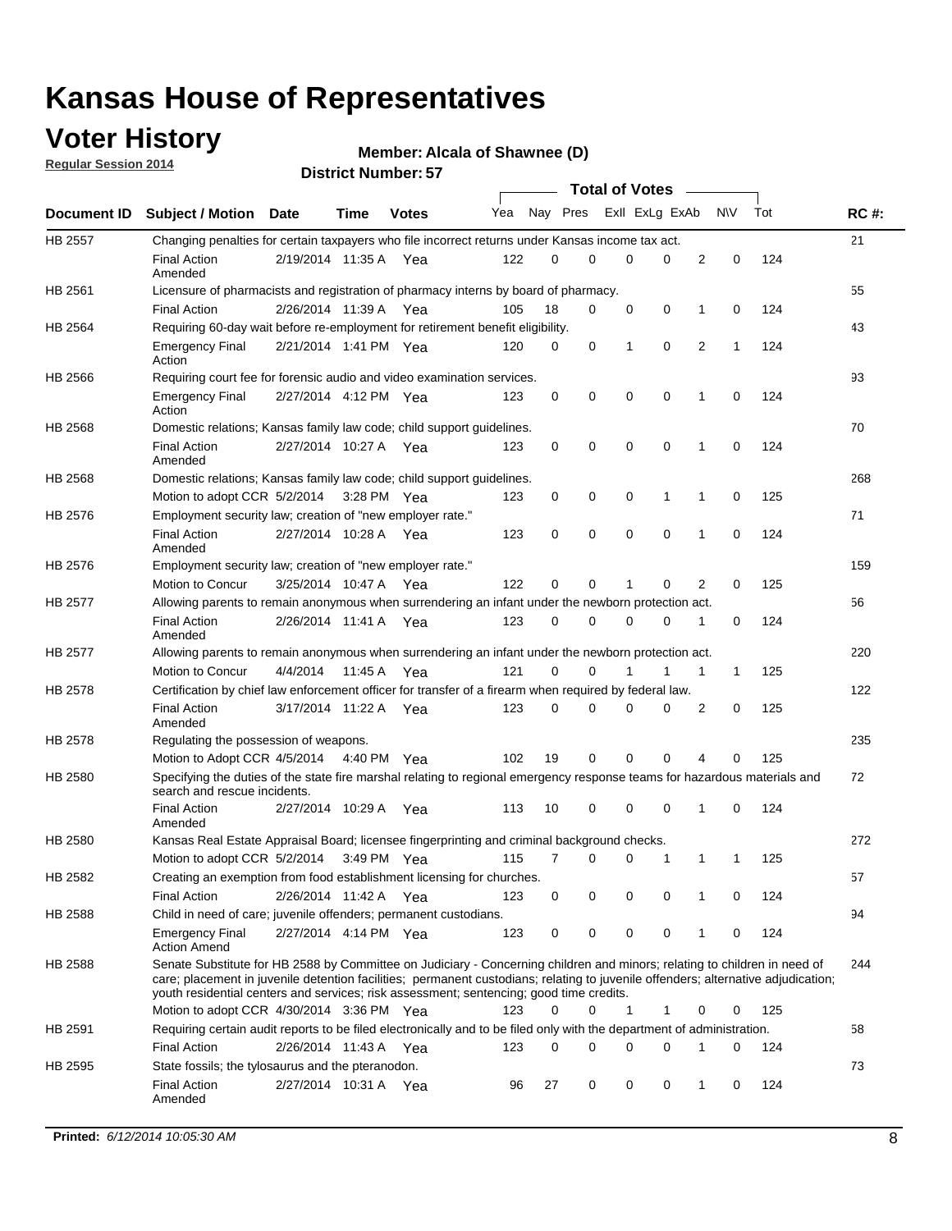### **Voter History**

**Regular Session 2014**

#### **Alcala of Shawnee (D)**

|                    |                                                                                                                                                                                                                                                                                                                                                           |                       |         |               |     |          |          | <b>Total of Votes</b> |             |              |              |     |             |
|--------------------|-----------------------------------------------------------------------------------------------------------------------------------------------------------------------------------------------------------------------------------------------------------------------------------------------------------------------------------------------------------|-----------------------|---------|---------------|-----|----------|----------|-----------------------|-------------|--------------|--------------|-----|-------------|
| <b>Document ID</b> | <b>Subject / Motion Date</b>                                                                                                                                                                                                                                                                                                                              |                       | Time    | <b>Votes</b>  | Yea | Nay Pres |          | Exll ExLg ExAb        |             |              | N\V          | Tot | <b>RC#:</b> |
| HB 2557            | Changing penalties for certain taxpayers who file incorrect returns under Kansas income tax act.                                                                                                                                                                                                                                                          |                       |         |               |     |          |          |                       |             |              |              |     | 21          |
|                    | <b>Final Action</b><br>Amended                                                                                                                                                                                                                                                                                                                            | 2/19/2014 11:35 A     |         | Yea           | 122 | 0        | 0        | 0                     | 0           | 2            | 0            | 124 |             |
| HB 2561            | Licensure of pharmacists and registration of pharmacy interns by board of pharmacy.                                                                                                                                                                                                                                                                       |                       |         |               |     |          |          |                       |             |              |              |     | 55          |
|                    | <b>Final Action</b>                                                                                                                                                                                                                                                                                                                                       | 2/26/2014 11:39 A Yea |         |               | 105 | 18       | 0        | 0                     | 0           | 1            | 0            | 124 |             |
| HB 2564            | Requiring 60-day wait before re-employment for retirement benefit eligibility.                                                                                                                                                                                                                                                                            |                       |         |               |     |          |          |                       |             |              |              |     | 43          |
|                    | <b>Emergency Final</b><br>Action                                                                                                                                                                                                                                                                                                                          | 2/21/2014 1:41 PM Yea |         |               | 120 | 0        | 0        | 1                     | $\mathbf 0$ | 2            | 1            | 124 |             |
| HB 2566            | Requiring court fee for forensic audio and video examination services.                                                                                                                                                                                                                                                                                    |                       |         |               |     |          |          |                       |             |              |              |     | 93          |
|                    | <b>Emergency Final</b><br>Action                                                                                                                                                                                                                                                                                                                          | 2/27/2014 4:12 PM Yea |         |               | 123 | 0        | 0        | $\mathbf 0$           | $\mathbf 0$ | 1            | 0            | 124 |             |
| HB 2568            | Domestic relations; Kansas family law code; child support guidelines.                                                                                                                                                                                                                                                                                     |                       |         |               |     |          |          |                       |             |              |              |     | 70          |
|                    | <b>Final Action</b><br>Amended                                                                                                                                                                                                                                                                                                                            | 2/27/2014 10:27 A     |         | Yea           | 123 | 0        | 0        | $\mathbf 0$           | $\mathbf 0$ | $\mathbf{1}$ | 0            | 124 |             |
| HB 2568            | Domestic relations; Kansas family law code; child support guidelines.                                                                                                                                                                                                                                                                                     |                       |         |               |     |          |          |                       |             |              |              |     | 268         |
|                    | Motion to adopt CCR 5/2/2014                                                                                                                                                                                                                                                                                                                              |                       |         | 3:28 PM Yea   | 123 | 0        | 0        | 0                     | 1           | 1            | 0            | 125 |             |
| HB 2576            | Employment security law; creation of "new employer rate."                                                                                                                                                                                                                                                                                                 |                       |         |               |     |          |          |                       |             |              |              |     | 71          |
|                    | <b>Final Action</b><br>Amended                                                                                                                                                                                                                                                                                                                            | 2/27/2014 10:28 A Yea |         |               | 123 | 0        | 0        | 0                     | $\mathbf 0$ | 1            | 0            | 124 |             |
| HB 2576            | Employment security law; creation of "new employer rate."                                                                                                                                                                                                                                                                                                 |                       |         |               |     |          |          |                       |             |              |              |     | 159         |
|                    | Motion to Concur                                                                                                                                                                                                                                                                                                                                          | 3/25/2014 10:47 A     |         | Yea           | 122 | 0        | 0        | 1                     | 0           | 2            | 0            | 125 |             |
| HB 2577            | Allowing parents to remain anonymous when surrendering an infant under the newborn protection act.                                                                                                                                                                                                                                                        |                       |         |               |     |          |          |                       |             |              |              |     | 56          |
|                    | <b>Final Action</b><br>Amended                                                                                                                                                                                                                                                                                                                            | 2/26/2014 11:41 A Yea |         |               | 123 | $\Omega$ | $\Omega$ | 0                     | 0           | 1            | 0            | 124 |             |
| <b>HB 2577</b>     | Allowing parents to remain anonymous when surrendering an infant under the newborn protection act.                                                                                                                                                                                                                                                        |                       |         |               |     |          |          |                       |             |              |              |     | 220         |
|                    | Motion to Concur                                                                                                                                                                                                                                                                                                                                          | 4/4/2014              | 11:45 A | Yea           | 121 | 0        | 0        | 1                     | 1           | 1            | $\mathbf{1}$ | 125 |             |
| HB 2578            | Certification by chief law enforcement officer for transfer of a firearm when required by federal law.                                                                                                                                                                                                                                                    |                       |         |               |     |          |          |                       |             |              |              |     | 122         |
|                    | <b>Final Action</b><br>Amended                                                                                                                                                                                                                                                                                                                            | 3/17/2014 11:22 A     |         | Yea           | 123 | 0        | 0        | 0                     | 0           | 2            | 0            | 125 |             |
| HB 2578            | Regulating the possession of weapons.                                                                                                                                                                                                                                                                                                                     |                       |         |               |     |          |          |                       |             |              |              |     | 235         |
|                    | Motion to Adopt CCR 4/5/2014 4:40 PM Yea                                                                                                                                                                                                                                                                                                                  |                       |         |               | 102 | 19       | 0        | 0                     | 0           | 4            | 0            | 125 |             |
| HB 2580            | Specifying the duties of the state fire marshal relating to regional emergency response teams for hazardous materials and<br>search and rescue incidents.                                                                                                                                                                                                 |                       |         |               |     |          |          |                       |             |              |              |     | 72          |
|                    | <b>Final Action</b><br>Amended                                                                                                                                                                                                                                                                                                                            | 2/27/2014 10:29 A     |         | Yea           | 113 | 10       | 0        | 0                     | $\mathbf 0$ | 1            | $\mathbf 0$  | 124 |             |
| HB 2580            | Kansas Real Estate Appraisal Board; licensee fingerprinting and criminal background checks.                                                                                                                                                                                                                                                               |                       |         |               |     |          |          |                       |             |              |              |     | 272         |
|                    | Motion to adopt CCR 5/2/2014                                                                                                                                                                                                                                                                                                                              |                       |         | $3:49$ PM Yea | 115 | 7        | 0        | 0                     | 1           | 1            | 1            | 125 |             |
| HB 2582            | Creating an exemption from food establishment licensing for churches.                                                                                                                                                                                                                                                                                     |                       |         |               |     |          |          |                       |             |              |              |     | 57          |
|                    | <b>Final Action</b>                                                                                                                                                                                                                                                                                                                                       | 2/26/2014 11:42 A Yea |         |               | 123 | 0        | 0        | 0                     | 0           |              | 0            | 124 |             |
| HB 2588            | Child in need of care; juvenile offenders; permanent custodians.                                                                                                                                                                                                                                                                                          |                       |         |               |     |          |          |                       |             |              |              |     | 94          |
|                    | <b>Emergency Final</b><br><b>Action Amend</b>                                                                                                                                                                                                                                                                                                             | 2/27/2014 4:14 PM Yea |         |               | 123 | 0        | 0        | 0                     | 0           | 1            | 0            | 124 |             |
| HB 2588            | Senate Substitute for HB 2588 by Committee on Judiciary - Concerning children and minors; relating to children in need of<br>care; placement in juvenile detention facilities; permanent custodians; relating to juvenile offenders; alternative adjudication;<br>youth residential centers and services; risk assessment; sentencing; good time credits. |                       |         |               |     |          |          |                       |             |              |              |     | 244         |
|                    | Motion to adopt CCR 4/30/2014 3:36 PM Yea                                                                                                                                                                                                                                                                                                                 |                       |         |               | 123 | 0        | 0        | 1                     | 1           | 0            | 0            | 125 |             |
| HB 2591            | Requiring certain audit reports to be filed electronically and to be filed only with the department of administration.                                                                                                                                                                                                                                    |                       |         |               |     |          |          |                       |             |              |              |     | 58          |
|                    | <b>Final Action</b>                                                                                                                                                                                                                                                                                                                                       | 2/26/2014 11:43 A Yea |         |               | 123 | 0        | 0        | 0                     | 0           | 1            | 0            | 124 |             |
| HB 2595            | State fossils; the tylosaurus and the pteranodon.                                                                                                                                                                                                                                                                                                         |                       |         |               |     |          |          |                       |             |              |              |     | 73          |
|                    | <b>Final Action</b><br>Amended                                                                                                                                                                                                                                                                                                                            | 2/27/2014 10:31 A Yea |         |               | 96  | 27       | 0        | 0                     | 0           | 1            | 0            | 124 |             |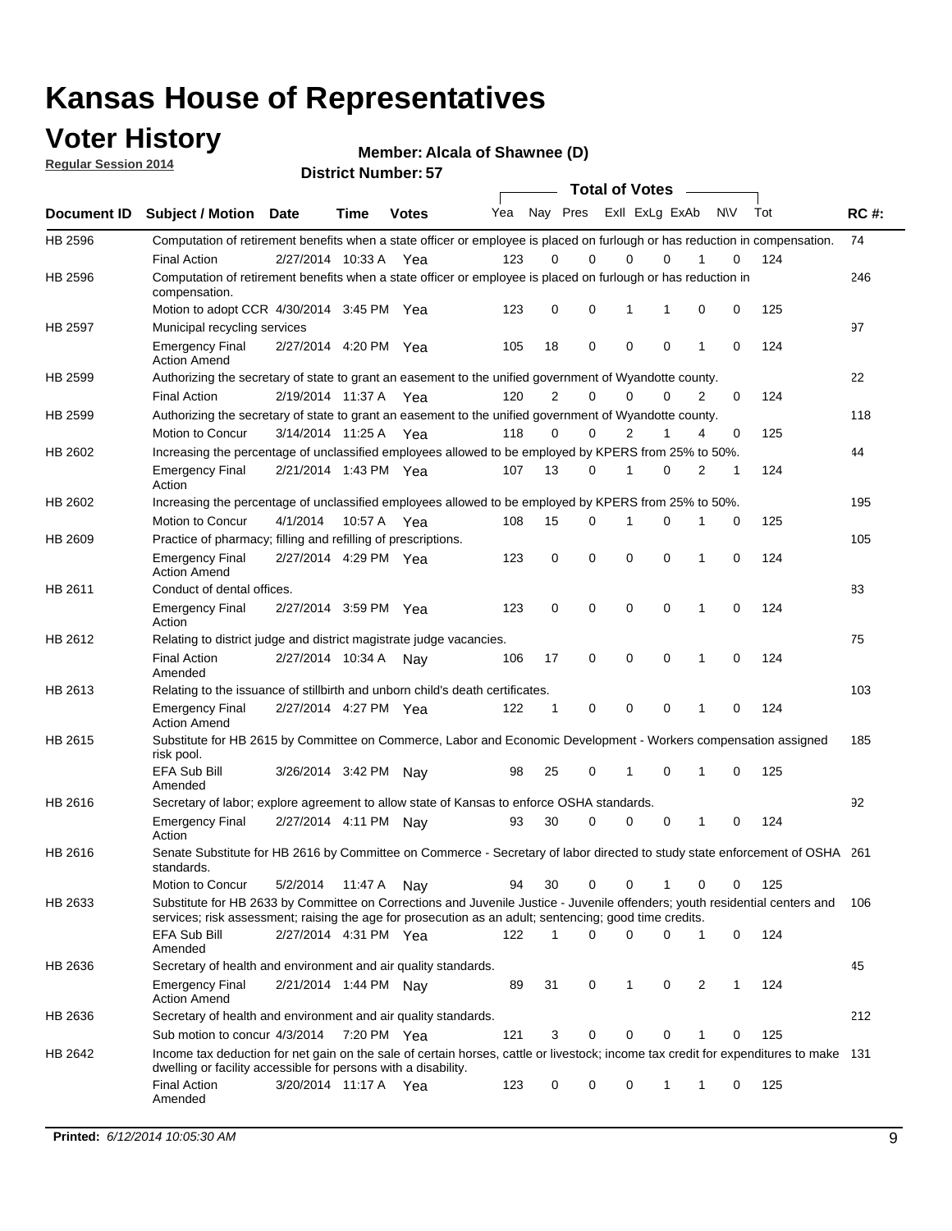### **Voter History**

**Regular Session 2014**

**Alcala of Shawnee (D)**

|             |                                                                                                                                                                                                                                       |                       |             |              |     |             | <b>Total of Votes</b>   |             |             |              |           |     |             |
|-------------|---------------------------------------------------------------------------------------------------------------------------------------------------------------------------------------------------------------------------------------|-----------------------|-------------|--------------|-----|-------------|-------------------------|-------------|-------------|--------------|-----------|-----|-------------|
| Document ID | <b>Subject / Motion Date</b>                                                                                                                                                                                                          |                       | <b>Time</b> | <b>Votes</b> | Yea |             | Nay Pres Exll ExLg ExAb |             |             |              | <b>NV</b> | Tot | <b>RC#:</b> |
| HB 2596     | Computation of retirement benefits when a state officer or employee is placed on furlough or has reduction in compensation.                                                                                                           |                       |             |              |     |             | 0                       |             | $\Omega$    |              | 0         |     | 74          |
| HB 2596     | <b>Final Action</b><br>Computation of retirement benefits when a state officer or employee is placed on furlough or has reduction in                                                                                                  | 2/27/2014 10:33 A     |             | Yea          | 123 | 0           |                         | $\mathbf 0$ |             |              |           | 124 | 246         |
|             | compensation.<br>Motion to adopt CCR 4/30/2014 3:45 PM Yea                                                                                                                                                                            |                       |             |              | 123 | 0           | 0                       | 1           | 1           | 0            | 0         | 125 |             |
| HB 2597     | Municipal recycling services                                                                                                                                                                                                          |                       |             |              |     |             |                         |             |             |              |           |     | 97          |
|             | <b>Emergency Final</b><br><b>Action Amend</b>                                                                                                                                                                                         | 2/27/2014 4:20 PM Yea |             |              | 105 | 18          | 0                       | $\mathbf 0$ | 0           | $\mathbf{1}$ | 0         | 124 |             |
| HB 2599     | Authorizing the secretary of state to grant an easement to the unified government of Wyandotte county.                                                                                                                                |                       |             |              |     |             |                         |             |             |              |           |     | 22          |
|             | <b>Final Action</b>                                                                                                                                                                                                                   | 2/19/2014 11:37 A     |             | Yea          | 120 | 2           | 0                       | 0           | $\mathbf 0$ | 2            | 0         | 124 |             |
| HB 2599     | Authorizing the secretary of state to grant an easement to the unified government of Wyandotte county.                                                                                                                                |                       |             |              |     |             |                         |             |             |              |           |     | 118         |
|             | Motion to Concur                                                                                                                                                                                                                      | 3/14/2014 11:25 A     |             | Yea          | 118 | 0           | 0                       | 2           | 1           | 4            | 0         | 125 |             |
| HB 2602     | Increasing the percentage of unclassified employees allowed to be employed by KPERS from 25% to 50%.                                                                                                                                  |                       |             |              |     |             |                         |             |             |              |           |     | 44          |
|             | <b>Emergency Final</b><br>Action                                                                                                                                                                                                      | 2/21/2014 1:43 PM Yea |             |              | 107 | 13          | 0                       | 1           | 0           | 2            | 1         | 124 |             |
| HB 2602     | Increasing the percentage of unclassified employees allowed to be employed by KPERS from 25% to 50%.                                                                                                                                  |                       |             |              |     |             |                         |             |             |              |           |     | 195         |
|             | Motion to Concur                                                                                                                                                                                                                      | 4/1/2014              | 10:57 A     | Yea          | 108 | 15          | 0                       | 1           | $\mathbf 0$ | 1            | 0         | 125 |             |
| HB 2609     | Practice of pharmacy; filling and refilling of prescriptions.                                                                                                                                                                         |                       |             |              |     |             |                         |             |             |              |           |     | 105         |
|             | <b>Emergency Final</b><br><b>Action Amend</b>                                                                                                                                                                                         | 2/27/2014 4:29 PM Yea |             |              | 123 | $\mathbf 0$ | $\mathbf 0$             | $\mathbf 0$ | $\mathbf 0$ | 1            | $\Omega$  | 124 |             |
| HB 2611     | Conduct of dental offices.                                                                                                                                                                                                            |                       |             |              |     |             |                         |             |             |              |           |     | 83          |
|             | <b>Emergency Final</b><br>Action                                                                                                                                                                                                      | 2/27/2014 3:59 PM Yea |             |              | 123 | 0           | 0                       | $\mathbf 0$ | $\mathbf 0$ | 1            | 0         | 124 |             |
| HB 2612     | Relating to district judge and district magistrate judge vacancies.                                                                                                                                                                   |                       |             |              |     |             |                         |             |             |              |           |     | 75          |
|             | <b>Final Action</b><br>Amended                                                                                                                                                                                                        | 2/27/2014 10:34 A     |             | Nav          | 106 | 17          | 0                       | $\mathbf 0$ | $\mathbf 0$ | 1            | 0         | 124 |             |
| HB 2613     | Relating to the issuance of stillbirth and unborn child's death certificates.                                                                                                                                                         |                       |             |              |     |             |                         |             |             |              |           |     | 103         |
|             | <b>Emergency Final</b><br><b>Action Amend</b>                                                                                                                                                                                         | 2/27/2014 4:27 PM Yea |             |              | 122 | $\mathbf 1$ | $\mathbf 0$             | $\mathbf 0$ | 0           | 1            | 0         | 124 |             |
| HB 2615     | Substitute for HB 2615 by Committee on Commerce, Labor and Economic Development - Workers compensation assigned<br>risk pool.                                                                                                         |                       |             |              |     |             |                         |             |             |              |           |     | 185         |
|             | EFA Sub Bill<br>Amended                                                                                                                                                                                                               | 3/26/2014 3:42 PM Nay |             |              | 98  | 25          | 0                       | 1           | 0           | 1            | 0         | 125 |             |
| HB 2616     | Secretary of labor; explore agreement to allow state of Kansas to enforce OSHA standards.                                                                                                                                             |                       |             |              |     |             |                         |             |             |              |           |     | 92          |
|             | <b>Emergency Final</b><br>Action                                                                                                                                                                                                      | 2/27/2014 4:11 PM Nay |             |              | 93  | 30          | $\Omega$                | $\mathbf 0$ | 0           | 1            | 0         | 124 |             |
| HB 2616     | Senate Substitute for HB 2616 by Committee on Commerce - Secretary of labor directed to study state enforcement of OSHA 261<br>standards.                                                                                             |                       |             |              |     |             |                         |             |             |              |           |     |             |
|             | Motion to Concur                                                                                                                                                                                                                      | 5/2/2014 11:47 A Nay  |             |              | 94  | 30          | $\mathbf 0$             | $\mathbf 0$ | 1           | 0            | 0         | 125 |             |
| HB 2633     | Substitute for HB 2633 by Committee on Corrections and Juvenile Justice - Juvenile offenders; youth residential centers and<br>services; risk assessment; raising the age for prosecution as an adult; sentencing; good time credits. |                       |             |              |     |             |                         |             |             |              |           |     | - 106       |
|             | EFA Sub Bill<br>Amended                                                                                                                                                                                                               | 2/27/2014 4:31 PM Yea |             |              | 122 | 1           | 0                       | 0           | 0           | 1            | 0         | 124 |             |
| HB 2636     | Secretary of health and environment and air quality standards.                                                                                                                                                                        |                       |             |              |     |             |                         |             |             |              |           |     | 45          |
|             | <b>Emergency Final</b><br><b>Action Amend</b>                                                                                                                                                                                         | 2/21/2014 1:44 PM Nay |             |              | 89  | 31          | 0                       | 1           | 0           | 2            |           | 124 |             |
| HB 2636     | Secretary of health and environment and air quality standards.                                                                                                                                                                        |                       |             |              |     |             |                         |             |             |              |           |     | 212         |
|             | Sub motion to concur 4/3/2014                                                                                                                                                                                                         |                       | 7:20 PM Yea |              | 121 | 3           | 0                       | 0           | 0           | 1            | 0         | 125 |             |
| HB 2642     | Income tax deduction for net gain on the sale of certain horses, cattle or livestock; income tax credit for expenditures to make 131<br>dwelling or facility accessible for persons with a disability.                                |                       |             |              |     |             |                         |             |             |              |           |     |             |
|             | <b>Final Action</b><br>Amended                                                                                                                                                                                                        | 3/20/2014 11:17 A Yea |             |              | 123 | 0           | 0                       | 0           | 1           | 1            | 0         | 125 |             |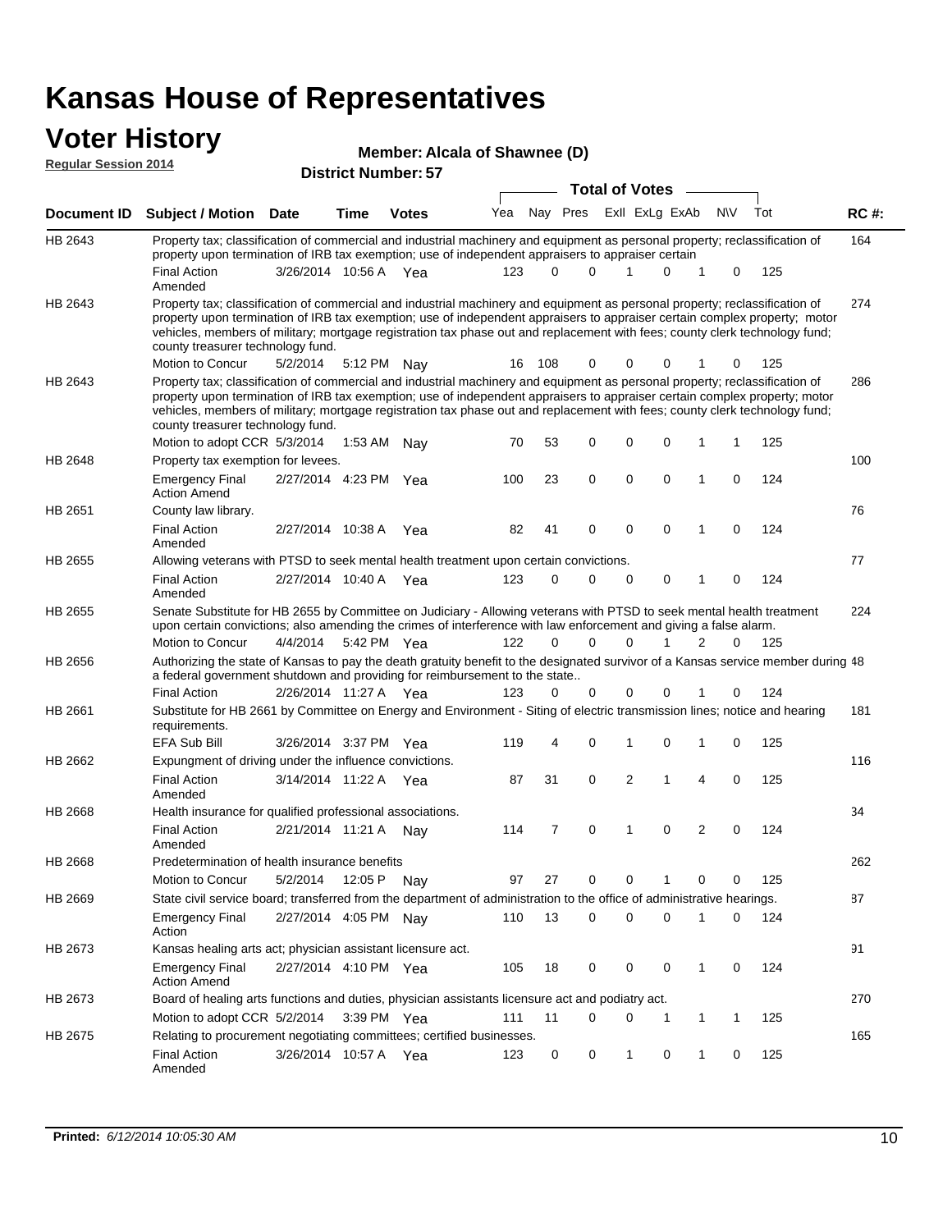### **Voter History**

| <b>VULGE LIBLUI Y</b><br><b>Regular Session 2014</b> |                                                                                                                                                                                                                                                                                                                                                                                                                               |                            |             | <b>Member: Alcala of Shawnee (D)</b> |     |                       |          |  |                |             |              |             |     |             |  |
|------------------------------------------------------|-------------------------------------------------------------------------------------------------------------------------------------------------------------------------------------------------------------------------------------------------------------------------------------------------------------------------------------------------------------------------------------------------------------------------------|----------------------------|-------------|--------------------------------------|-----|-----------------------|----------|--|----------------|-------------|--------------|-------------|-----|-------------|--|
|                                                      |                                                                                                                                                                                                                                                                                                                                                                                                                               | <b>District Number: 57</b> |             |                                      |     | <b>Total of Votes</b> |          |  |                |             |              |             |     |             |  |
| Document ID                                          | <b>Subject / Motion</b>                                                                                                                                                                                                                                                                                                                                                                                                       | Date                       | Time        | <b>Votes</b>                         | Yea | Nay Pres              |          |  | Exll ExLg ExAb |             |              | <b>NV</b>   | Tot | <b>RC#:</b> |  |
| HB 2643                                              | Property tax; classification of commercial and industrial machinery and equipment as personal property; reclassification of<br>property upon termination of IRB tax exemption; use of independent appraisers to appraiser certain                                                                                                                                                                                             |                            |             |                                      |     |                       |          |  |                |             |              |             |     | 164         |  |
|                                                      | <b>Final Action</b><br>Amended                                                                                                                                                                                                                                                                                                                                                                                                | 3/26/2014 10:56 A          |             | Yea                                  | 123 | 0                     | 0        |  |                | 0           | 1            | 0           | 125 |             |  |
| HB 2643                                              | Property tax; classification of commercial and industrial machinery and equipment as personal property; reclassification of<br>property upon termination of IRB tax exemption; use of independent appraisers to appraiser certain complex property; motor<br>vehicles, members of military; mortgage registration tax phase out and replacement with fees; county clerk technology fund;<br>county treasurer technology fund. |                            |             |                                      |     |                       |          |  |                |             |              |             |     | 274         |  |
|                                                      | Motion to Concur                                                                                                                                                                                                                                                                                                                                                                                                              | 5/2/2014                   | 5:12 PM Nav |                                      | 16  | 108                   | 0        |  | 0              | 0           |              | 0           | 125 |             |  |
| HB 2643                                              | Property tax; classification of commercial and industrial machinery and equipment as personal property; reclassification of<br>property upon termination of IRB tax exemption; use of independent appraisers to appraiser certain complex property; motor<br>vehicles, members of military; mortgage registration tax phase out and replacement with fees; county clerk technology fund;<br>county treasurer technology fund. |                            |             |                                      |     |                       |          |  |                |             |              |             |     | 286         |  |
|                                                      | Motion to adopt CCR 5/3/2014                                                                                                                                                                                                                                                                                                                                                                                                  |                            | 1:53 AM     | Nav                                  | 70  | 53                    | 0        |  | 0              | 0           | 1            | 1           | 125 |             |  |
| HB 2648                                              | Property tax exemption for levees.                                                                                                                                                                                                                                                                                                                                                                                            |                            |             |                                      |     |                       |          |  |                |             |              |             |     | 100         |  |
|                                                      | <b>Emergency Final</b><br><b>Action Amend</b>                                                                                                                                                                                                                                                                                                                                                                                 | 2/27/2014 4:23 PM Yea      |             |                                      | 100 | 23                    | 0        |  | $\mathbf 0$    | $\mathbf 0$ | 1            | 0           | 124 |             |  |
| HB 2651                                              | County law library.                                                                                                                                                                                                                                                                                                                                                                                                           |                            |             |                                      |     |                       |          |  |                |             |              |             |     | 76          |  |
|                                                      | <b>Final Action</b><br>Amended                                                                                                                                                                                                                                                                                                                                                                                                | 2/27/2014 10:38 A          |             | Yea                                  | 82  | 41                    | 0        |  | $\mathbf 0$    | $\mathbf 0$ | 1            | $\mathbf 0$ | 124 |             |  |
| HB 2655                                              | Allowing veterans with PTSD to seek mental health treatment upon certain convictions.                                                                                                                                                                                                                                                                                                                                         |                            |             |                                      |     |                       |          |  |                |             |              |             |     | 77          |  |
|                                                      | <b>Final Action</b><br>Amended                                                                                                                                                                                                                                                                                                                                                                                                | 2/27/2014 10:40 A          |             | Yea                                  | 123 | 0                     | 0        |  | 0              | 0           | 1            | 0           | 124 |             |  |
| HB 2655                                              | Senate Substitute for HB 2655 by Committee on Judiciary - Allowing veterans with PTSD to seek mental health treatment<br>upon certain convictions; also amending the crimes of interference with law enforcement and giving a false alarm.                                                                                                                                                                                    |                            |             |                                      |     |                       |          |  |                |             |              |             |     | 224         |  |
|                                                      | Motion to Concur                                                                                                                                                                                                                                                                                                                                                                                                              | 4/4/2014                   | 5:42 PM Yea |                                      | 122 | $\Omega$              | $\Omega$ |  | $\Omega$       | 1           | 2            | 0           | 125 |             |  |
| HB 2656                                              | Authorizing the state of Kansas to pay the death gratuity benefit to the designated survivor of a Kansas service member during 48<br>a federal government shutdown and providing for reimbursement to the state                                                                                                                                                                                                               |                            |             |                                      |     |                       |          |  |                |             |              |             |     |             |  |
|                                                      | <b>Final Action</b>                                                                                                                                                                                                                                                                                                                                                                                                           | 2/26/2014 11:27 A Yea      |             |                                      | 123 | 0                     | 0        |  | 0              | 0           |              | 0           | 124 |             |  |
| HB 2661                                              | Substitute for HB 2661 by Committee on Energy and Environment - Siting of electric transmission lines; notice and hearing<br>requirements.                                                                                                                                                                                                                                                                                    |                            |             |                                      |     |                       |          |  |                |             |              |             |     | 181         |  |
|                                                      | <b>EFA Sub Bill</b>                                                                                                                                                                                                                                                                                                                                                                                                           | 3/26/2014 3:37 PM Yea      |             |                                      | 119 | 4                     | 0        |  | 1              | 0           | 1            | 0           | 125 |             |  |
| HB 2662                                              | Expungment of driving under the influence convictions.<br><b>Final Action</b>                                                                                                                                                                                                                                                                                                                                                 | 3/14/2014 11:22 A          |             | Yea                                  | 87  | 31                    | 0        |  | 2              | 1           | 4            | 0           | 125 | 116         |  |
|                                                      | Amended                                                                                                                                                                                                                                                                                                                                                                                                                       |                            |             |                                      |     |                       |          |  |                |             |              |             |     |             |  |
| HB 2668                                              | Health insurance for qualified professional associations.                                                                                                                                                                                                                                                                                                                                                                     |                            |             |                                      |     |                       |          |  |                |             |              |             |     | 34          |  |
|                                                      | <b>Final Action</b><br>Amended                                                                                                                                                                                                                                                                                                                                                                                                | 2/21/2014 11:21 A Nay      |             |                                      | 114 | 7                     | 0        |  | 1              | 0           | 2            | 0           | 124 |             |  |
| HB 2668                                              | Predetermination of health insurance benefits                                                                                                                                                                                                                                                                                                                                                                                 |                            |             |                                      |     |                       |          |  |                |             |              |             |     | 262         |  |
|                                                      | Motion to Concur                                                                                                                                                                                                                                                                                                                                                                                                              | 5/2/2014                   | 12:05 P     | Nav                                  | 97  | 27                    | 0        |  | 0              | 1           | 0            | 0           | 125 |             |  |
| HB 2669                                              | State civil service board; transferred from the department of administration to the office of administrative hearings.                                                                                                                                                                                                                                                                                                        |                            |             |                                      |     |                       |          |  |                |             |              |             |     | 87          |  |
|                                                      | <b>Emergency Final</b><br>Action                                                                                                                                                                                                                                                                                                                                                                                              | 2/27/2014 4:05 PM Nay      |             |                                      | 110 | 13                    | 0        |  | 0              | 0           | 1            | 0           | 124 |             |  |
| HB 2673                                              | Kansas healing arts act; physician assistant licensure act.                                                                                                                                                                                                                                                                                                                                                                   |                            |             |                                      |     |                       |          |  |                |             |              |             |     | 91          |  |
|                                                      | <b>Emergency Final</b><br><b>Action Amend</b>                                                                                                                                                                                                                                                                                                                                                                                 | 2/27/2014 4:10 PM Yea      |             |                                      | 105 | 18                    | 0        |  | 0              | 0           | $\mathbf{1}$ | 0           | 124 |             |  |
| HB 2673                                              | Board of healing arts functions and duties, physician assistants licensure act and podiatry act.                                                                                                                                                                                                                                                                                                                              |                            |             |                                      |     |                       |          |  |                |             |              |             |     | 270         |  |
|                                                      | Motion to adopt CCR 5/2/2014 3:39 PM Yea                                                                                                                                                                                                                                                                                                                                                                                      |                            |             |                                      | 111 | 11                    | $\Omega$ |  | 0              | 1           | 1            | 1           | 125 |             |  |
| HB 2675                                              | Relating to procurement negotiating committees; certified businesses.                                                                                                                                                                                                                                                                                                                                                         |                            |             |                                      |     |                       |          |  |                |             |              |             |     | 165         |  |
|                                                      | <b>Final Action</b><br>Amended                                                                                                                                                                                                                                                                                                                                                                                                | 3/26/2014 10:57 A Yea      |             |                                      | 123 | 0                     | 0        |  | 1              | 0           | 1            | 0           | 125 |             |  |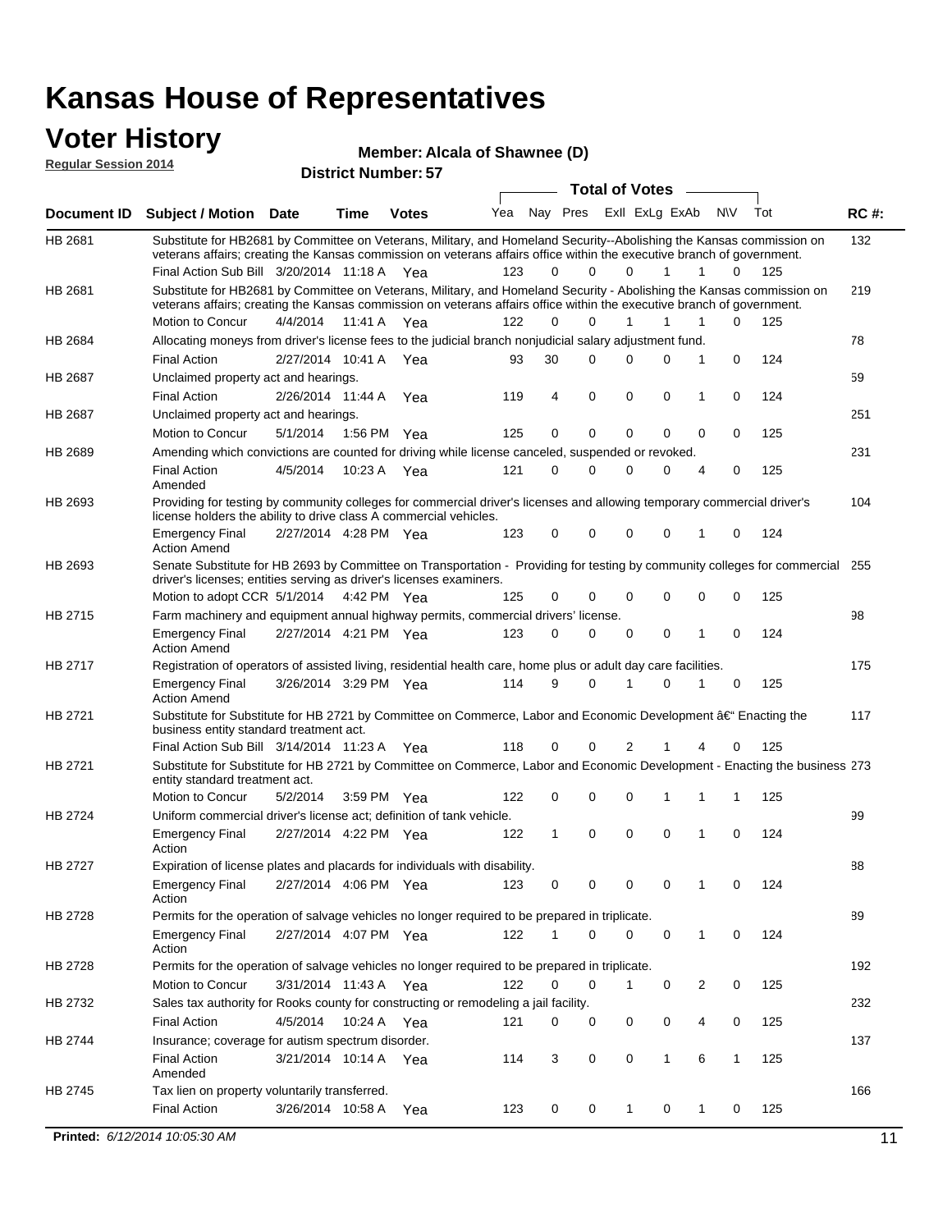#### **Voter History Regular Session 2014**

| Member: Alcala of Shawnee (D) |  |
|-------------------------------|--|
|                               |  |

| noguidi ocoololi 4017 |                                                                                                                                                                                                                                                                                               |                       |             | <b>District Number: 57</b> |     |    |             |                         |              |                |              |     |             |
|-----------------------|-----------------------------------------------------------------------------------------------------------------------------------------------------------------------------------------------------------------------------------------------------------------------------------------------|-----------------------|-------------|----------------------------|-----|----|-------------|-------------------------|--------------|----------------|--------------|-----|-------------|
|                       |                                                                                                                                                                                                                                                                                               |                       |             |                            |     |    |             | <b>Total of Votes</b>   |              |                |              |     |             |
| <b>Document ID</b>    | <b>Subject / Motion Date</b>                                                                                                                                                                                                                                                                  |                       | <b>Time</b> | <b>Votes</b>               | Yea |    |             | Nay Pres Exll ExLg ExAb |              | N\V            | Tot          |     | <b>RC#:</b> |
| HB 2681               | Substitute for HB2681 by Committee on Veterans, Military, and Homeland Security--Abolishing the Kansas commission on<br>veterans affairs; creating the Kansas commission on veterans affairs office within the executive branch of government.<br>Final Action Sub Bill 3/20/2014 11:18 A Yea |                       |             |                            | 123 | 0  | $\Omega$    | $\Omega$                | 1            | 1              | $\Omega$     | 125 | 132         |
| HB 2681               | Substitute for HB2681 by Committee on Veterans, Military, and Homeland Security - Abolishing the Kansas commission on<br>veterans affairs; creating the Kansas commission on veterans affairs office within the executive branch of government.                                               |                       |             |                            |     |    |             |                         |              |                |              |     | 219         |
|                       | Motion to Concur                                                                                                                                                                                                                                                                              | 4/4/2014 11:41 A Yea  |             |                            | 122 | 0  | $\Omega$    | 1                       | 1            | 1              | $\Omega$     | 125 |             |
| HB 2684               | Allocating moneys from driver's license fees to the judicial branch nonjudicial salary adjustment fund.                                                                                                                                                                                       |                       |             |                            |     |    |             |                         |              |                |              |     | 78          |
|                       | <b>Final Action</b>                                                                                                                                                                                                                                                                           | 2/27/2014 10:41 A Yea |             |                            | 93  | 30 | $\Omega$    | $\Omega$                | 0            | 1              | $\mathbf 0$  | 124 |             |
| HB 2687               | Unclaimed property act and hearings.                                                                                                                                                                                                                                                          |                       |             |                            |     |    |             |                         |              |                |              |     | 59          |
|                       | <b>Final Action</b>                                                                                                                                                                                                                                                                           | 2/26/2014 11:44 A     |             | Yea                        | 119 | 4  | $\mathbf 0$ | 0                       | $\mathbf 0$  | 1              | 0            | 124 |             |
| HB 2687               | Unclaimed property act and hearings.                                                                                                                                                                                                                                                          |                       |             |                            |     |    |             |                         |              |                |              |     | 251         |
|                       | Motion to Concur                                                                                                                                                                                                                                                                              | 5/1/2014              |             | 1:56 PM Yea                | 125 | 0  | 0           | 0                       | 0            | 0              | 0            | 125 |             |
| <b>HB 2689</b>        | Amending which convictions are counted for driving while license canceled, suspended or revoked.                                                                                                                                                                                              |                       |             |                            |     |    |             |                         |              |                |              |     | 231         |
|                       | <b>Final Action</b><br>Amended                                                                                                                                                                                                                                                                | 4/5/2014              | 10:23 A     | Yea                        | 121 | 0  | $\Omega$    | $\Omega$                | 0            | $\overline{4}$ | 0            | 125 |             |
| HB 2693               | Providing for testing by community colleges for commercial driver's licenses and allowing temporary commercial driver's<br>license holders the ability to drive class A commercial vehicles.                                                                                                  |                       |             |                            |     |    |             |                         |              |                |              |     | 104         |
|                       | <b>Emergency Final</b><br><b>Action Amend</b>                                                                                                                                                                                                                                                 | 2/27/2014 4:28 PM Yea |             |                            | 123 | 0  | 0           | $\Omega$                | 0            | 1              | 0            | 124 |             |
| HB 2693               | Senate Substitute for HB 2693 by Committee on Transportation - Providing for testing by community colleges for commercial 255<br>driver's licenses; entities serving as driver's licenses examiners.                                                                                          |                       |             |                            |     |    |             |                         |              |                |              |     |             |
|                       | Motion to adopt CCR 5/1/2014 4:42 PM Yea                                                                                                                                                                                                                                                      |                       |             |                            | 125 | 0  | 0           | 0                       | 0            | 0              | 0            | 125 |             |
| HB 2715               | Farm machinery and equipment annual highway permits, commercial drivers' license.<br><b>Emergency Final</b>                                                                                                                                                                                   | 2/27/2014 4:21 PM Yea |             |                            | 123 | 0  | 0           | 0                       | 0            | 1              | 0            | 124 | 98          |
|                       | <b>Action Amend</b>                                                                                                                                                                                                                                                                           |                       |             |                            |     |    |             |                         |              |                |              |     |             |
| HB 2717               | Registration of operators of assisted living, residential health care, home plus or adult day care facilities.                                                                                                                                                                                |                       |             |                            |     |    |             |                         |              |                |              |     | 175         |
|                       | <b>Emergency Final</b><br><b>Action Amend</b>                                                                                                                                                                                                                                                 | 3/26/2014 3:29 PM Yea |             |                            | 114 | 9  | $\Omega$    | 1                       | 0            | 1              | 0            | 125 |             |
| HB 2721               | Substitute for Substitute for HB 2721 by Committee on Commerce, Labor and Economic Development †Enacting the<br>business entity standard treatment act.                                                                                                                                       |                       |             |                            |     |    |             |                         |              |                |              |     | 117         |
|                       | Final Action Sub Bill 3/14/2014 11:23 A Yea                                                                                                                                                                                                                                                   |                       |             |                            | 118 | 0  | 0           | 2                       |              |                | 0            | 125 |             |
| HB 2721               | Substitute for Substitute for HB 2721 by Committee on Commerce, Labor and Economic Development - Enacting the business 273<br>entity standard treatment act.                                                                                                                                  |                       |             |                            |     |    |             |                         |              |                |              |     |             |
|                       | Motion to Concur                                                                                                                                                                                                                                                                              | 5/2/2014              |             | 3:59 PM Yea                | 122 | 0  | 0           | 0                       | 1            | 1              | 1            | 125 |             |
| <b>HB 2724</b>        | Uniform commercial driver's license act; definition of tank vehicle.<br><b>Emergency Final</b>                                                                                                                                                                                                | 2/27/2014 4:22 PM Yea |             |                            | 122 | 1  | 0           | 0                       | 0            | 1              | 0            | 124 | 99          |
|                       | Action                                                                                                                                                                                                                                                                                        |                       |             |                            |     |    |             |                         |              |                |              |     |             |
| HB 2727               | Expiration of license plates and placards for individuals with disability.                                                                                                                                                                                                                    |                       |             |                            |     |    |             |                         |              |                |              |     | 88          |
|                       | <b>Emergency Final</b><br>Action                                                                                                                                                                                                                                                              | 2/27/2014 4:06 PM Yea |             |                            | 123 | 0  | 0           | 0                       | 0            | 1              | 0            | 124 |             |
| HB 2728               | Permits for the operation of salvage vehicles no longer required to be prepared in triplicate.                                                                                                                                                                                                |                       |             |                            |     |    |             |                         |              |                |              |     | 89          |
|                       | <b>Emergency Final</b><br>Action                                                                                                                                                                                                                                                              | 2/27/2014 4:07 PM Yea |             |                            | 122 | 1  | 0           | 0                       | 0            | 1              | 0            | 124 |             |
| HB 2728               | Permits for the operation of salvage vehicles no longer required to be prepared in triplicate.                                                                                                                                                                                                |                       |             |                            |     |    |             |                         |              |                |              |     | 192         |
|                       | Motion to Concur                                                                                                                                                                                                                                                                              | 3/31/2014 11:43 A Yea |             |                            | 122 | 0  | 0           | 1                       | 0            | 2              | 0            | 125 |             |
| HB 2732               | Sales tax authority for Rooks county for constructing or remodeling a jail facility.                                                                                                                                                                                                          |                       |             |                            |     |    |             |                         |              |                |              |     | 232         |
|                       | <b>Final Action</b>                                                                                                                                                                                                                                                                           | 4/5/2014              |             | 10:24 A Yea                | 121 | 0  | 0           | 0                       | 0            | 4              | 0            | 125 |             |
| HB 2744               | Insurance; coverage for autism spectrum disorder.                                                                                                                                                                                                                                             |                       |             |                            |     |    |             |                         |              |                |              |     | 137         |
|                       | <b>Final Action</b>                                                                                                                                                                                                                                                                           | 3/21/2014 10:14 A Yea |             |                            | 114 | 3  | 0           | 0                       | $\mathbf{1}$ | 6              | $\mathbf{1}$ | 125 |             |
|                       | Amended                                                                                                                                                                                                                                                                                       |                       |             |                            |     |    |             |                         |              |                |              |     | 166         |
| HB 2745               | Tax lien on property voluntarily transferred.<br><b>Final Action</b>                                                                                                                                                                                                                          | 3/26/2014 10:58 A     |             | Yea                        | 123 | 0  | 0           | 1                       | 0            | 1              | 0            | 125 |             |
|                       |                                                                                                                                                                                                                                                                                               |                       |             |                            |     |    |             |                         |              |                |              |     |             |
|                       | Printed: 6/12/2014 10:05:30 AM                                                                                                                                                                                                                                                                |                       |             |                            |     |    |             |                         |              |                |              |     | 11          |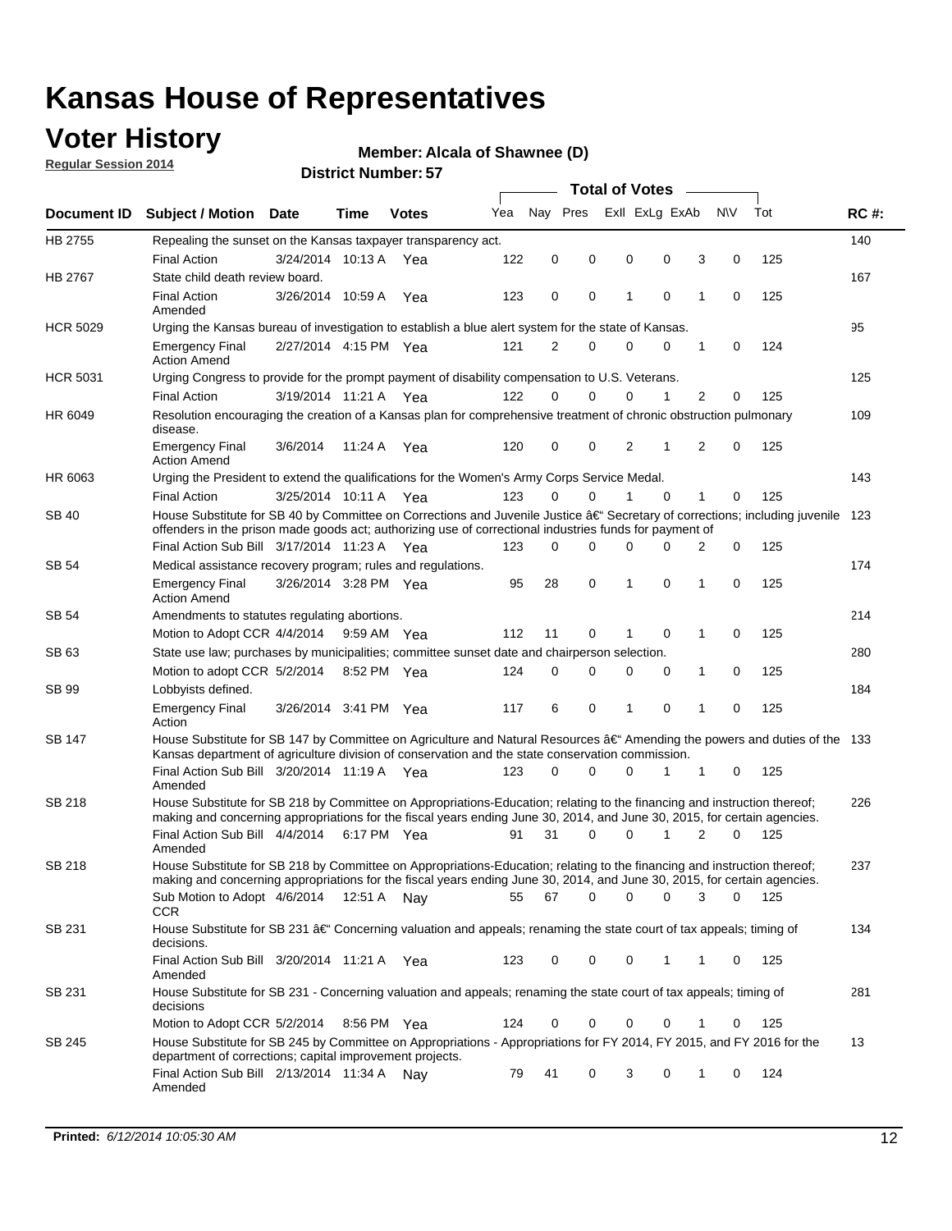### **Voter History**

**Regular Session 2014**

#### **Alcala of Shawnee (D)**

|                    |                                                                                                                                                                                                                                      |                       |             |              |     |          |          | <b>Total of Votes</b> |             |                |             |     |             |
|--------------------|--------------------------------------------------------------------------------------------------------------------------------------------------------------------------------------------------------------------------------------|-----------------------|-------------|--------------|-----|----------|----------|-----------------------|-------------|----------------|-------------|-----|-------------|
| <b>Document ID</b> | <b>Subject / Motion Date</b>                                                                                                                                                                                                         |                       | Time        | <b>Votes</b> | Yea | Nav Pres |          | Exll ExLg ExAb        |             |                | N\V         | Tot | <b>RC#:</b> |
| HB 2755            | Repealing the sunset on the Kansas taxpayer transparency act.                                                                                                                                                                        |                       |             |              |     |          |          |                       |             |                |             |     | 140         |
|                    | <b>Final Action</b>                                                                                                                                                                                                                  | 3/24/2014 10:13 A     |             | Yea          | 122 | 0        | 0        | 0                     | 0           | 3              | 0           | 125 |             |
| HB 2767            | State child death review board.                                                                                                                                                                                                      |                       |             |              |     |          |          |                       |             |                |             |     | 167         |
|                    | <b>Final Action</b><br>Amended                                                                                                                                                                                                       | 3/26/2014 10:59 A     |             | Yea          | 123 | 0        | 0        | 1                     | $\mathbf 0$ | 1              | 0           | 125 |             |
| <b>HCR 5029</b>    | Urging the Kansas bureau of investigation to establish a blue alert system for the state of Kansas.                                                                                                                                  |                       |             |              |     |          |          |                       |             |                |             |     | 95          |
|                    | <b>Emergency Final</b><br><b>Action Amend</b>                                                                                                                                                                                        | 2/27/2014 4:15 PM Yea |             |              | 121 | 2        | 0        | 0                     | 0           | 1              | 0           | 124 |             |
| <b>HCR 5031</b>    | Urging Congress to provide for the prompt payment of disability compensation to U.S. Veterans.                                                                                                                                       |                       |             |              |     |          |          |                       |             |                |             |     | 125         |
|                    | <b>Final Action</b>                                                                                                                                                                                                                  | 3/19/2014 11:21 A Yea |             |              | 122 | $\Omega$ | $\Omega$ | 0                     | 1           | 2              | 0           | 125 |             |
| HR 6049            | Resolution encouraging the creation of a Kansas plan for comprehensive treatment of chronic obstruction pulmonary<br>disease.                                                                                                        |                       |             |              |     |          |          |                       |             |                |             |     | 109         |
|                    | <b>Emergency Final</b><br><b>Action Amend</b>                                                                                                                                                                                        | 3/6/2014              | 11:24 A     | Yea          | 120 | 0        | 0        | 2                     | 1           | $\overline{2}$ | $\mathbf 0$ | 125 |             |
| HR 6063            | Urging the President to extend the qualifications for the Women's Army Corps Service Medal.                                                                                                                                          |                       |             |              |     |          |          |                       |             |                |             |     | 143         |
|                    | <b>Final Action</b>                                                                                                                                                                                                                  | 3/25/2014 10:11 A Yea |             |              | 123 | $\Omega$ | $\Omega$ | 1                     | $\Omega$    | 1              | 0           | 125 |             |
| SB 40              | House Substitute for SB 40 by Committee on Corrections and Juvenile Justice †Secretary of corrections; including juvenile<br>offenders in the prison made goods act; authorizing use of correctional industries funds for payment of |                       |             |              |     |          |          |                       |             |                |             |     | 123         |
|                    | Final Action Sub Bill 3/17/2014 11:23 A Yea                                                                                                                                                                                          |                       |             |              | 123 | 0        | 0        | 0                     | $\Omega$    | 2              | 0           | 125 |             |
| SB 54              | Medical assistance recovery program; rules and regulations.                                                                                                                                                                          |                       |             |              |     |          |          |                       |             |                |             |     | 174         |
|                    | <b>Emergency Final</b><br><b>Action Amend</b>                                                                                                                                                                                        | 3/26/2014 3:28 PM Yea |             |              | 95  | 28       | 0        | 1                     | 0           | 1              | 0           | 125 |             |
| SB 54              | Amendments to statutes regulating abortions.                                                                                                                                                                                         |                       |             |              |     |          |          |                       |             |                |             |     | 214         |
|                    | Motion to Adopt CCR 4/4/2014                                                                                                                                                                                                         |                       | 9:59 AM Yea |              | 112 | 11       | 0        |                       | $\mathbf 0$ | 1              | 0           | 125 |             |
| SB 63              | State use law; purchases by municipalities; committee sunset date and chairperson selection.                                                                                                                                         |                       |             |              |     |          |          |                       |             |                |             |     | 280         |
|                    | Motion to adopt CCR 5/2/2014                                                                                                                                                                                                         |                       | 8:52 PM Yea |              | 124 | 0        | 0        | 0                     | 0           | 1              | 0           | 125 |             |
| SB 99              | Lobbyists defined.                                                                                                                                                                                                                   |                       |             |              |     |          |          |                       |             |                |             |     | 184         |
|                    | <b>Emergency Final</b><br>Action                                                                                                                                                                                                     | 3/26/2014 3:41 PM Yea |             |              | 117 | 6        | 0        | 1                     | 0           | 1              | 0           | 125 |             |
| SB 147             | House Substitute for SB 147 by Committee on Agriculture and Natural Resources †Amending the powers and duties of the 133<br>Kansas department of agriculture division of conservation and the state conservation commission.         |                       |             |              |     |          |          |                       |             |                |             |     |             |
|                    | Final Action Sub Bill 3/20/2014 11:19 A Yea<br>Amended                                                                                                                                                                               |                       |             |              | 123 | 0        | $\Omega$ | 0                     | 1           | 1              | 0           | 125 |             |
| <b>SB 218</b>      | House Substitute for SB 218 by Committee on Appropriations-Education; relating to the financing and instruction thereof;                                                                                                             |                       |             |              |     |          |          |                       |             |                |             |     | 226         |
|                    | making and concerning appropriations for the fiscal years ending June 30, 2014, and June 30, 2015, for certain agencies.<br>Final Action Sub Bill 4/4/2014                                                                           |                       | 6:17 PM Yea |              | 91  | 31       | $\Omega$ | 0                     | 1           | $\overline{2}$ | $\Omega$    | 125 |             |
|                    | Amended                                                                                                                                                                                                                              |                       |             |              |     |          |          |                       |             |                |             |     |             |
| SB 218             | House Substitute for SB 218 by Committee on Appropriations-Education; relating to the financing and instruction thereof;                                                                                                             |                       |             |              |     |          |          |                       |             |                |             |     | 237         |
|                    | making and concerning appropriations for the fiscal years ending June 30, 2014, and June 30, 2015, for certain agencies.                                                                                                             |                       |             |              |     |          |          |                       |             |                |             |     |             |
|                    | Sub Motion to Adopt 4/6/2014 12:51 A Nay<br><b>CCR</b>                                                                                                                                                                               |                       |             |              | 55  | 67       | 0        | 0                     | 0           | 3              | 0           | 125 |             |
| SB 231             | House Substitute for SB 231 †Concerning valuation and appeals; renaming the state court of tax appeals; timing of<br>decisions.                                                                                                      |                       |             |              |     |          |          |                       |             |                |             |     | 134         |
|                    | Final Action Sub Bill 3/20/2014 11:21 A Yea<br>Amended                                                                                                                                                                               |                       |             |              | 123 | 0        | 0        | 0                     | 1           | 1              | 0           | 125 |             |
| SB 231             | House Substitute for SB 231 - Concerning valuation and appeals; renaming the state court of tax appeals; timing of<br>decisions                                                                                                      |                       |             |              |     |          |          |                       |             |                |             |     | 281         |
|                    | Motion to Adopt CCR 5/2/2014                                                                                                                                                                                                         |                       | 8:56 PM Yea |              | 124 | 0        | 0        | 0                     | $\mathbf 0$ | 1              | 0           | 125 |             |
| SB 245             | House Substitute for SB 245 by Committee on Appropriations - Appropriations for FY 2014, FY 2015, and FY 2016 for the<br>department of corrections; capital improvement projects.                                                    |                       |             |              |     |          |          |                       |             |                |             |     | 13          |
|                    | Final Action Sub Bill 2/13/2014 11:34 A Nay<br>Amended                                                                                                                                                                               |                       |             |              | 79  | 41       | 0        | 3                     | 0           | 1              | 0           | 124 |             |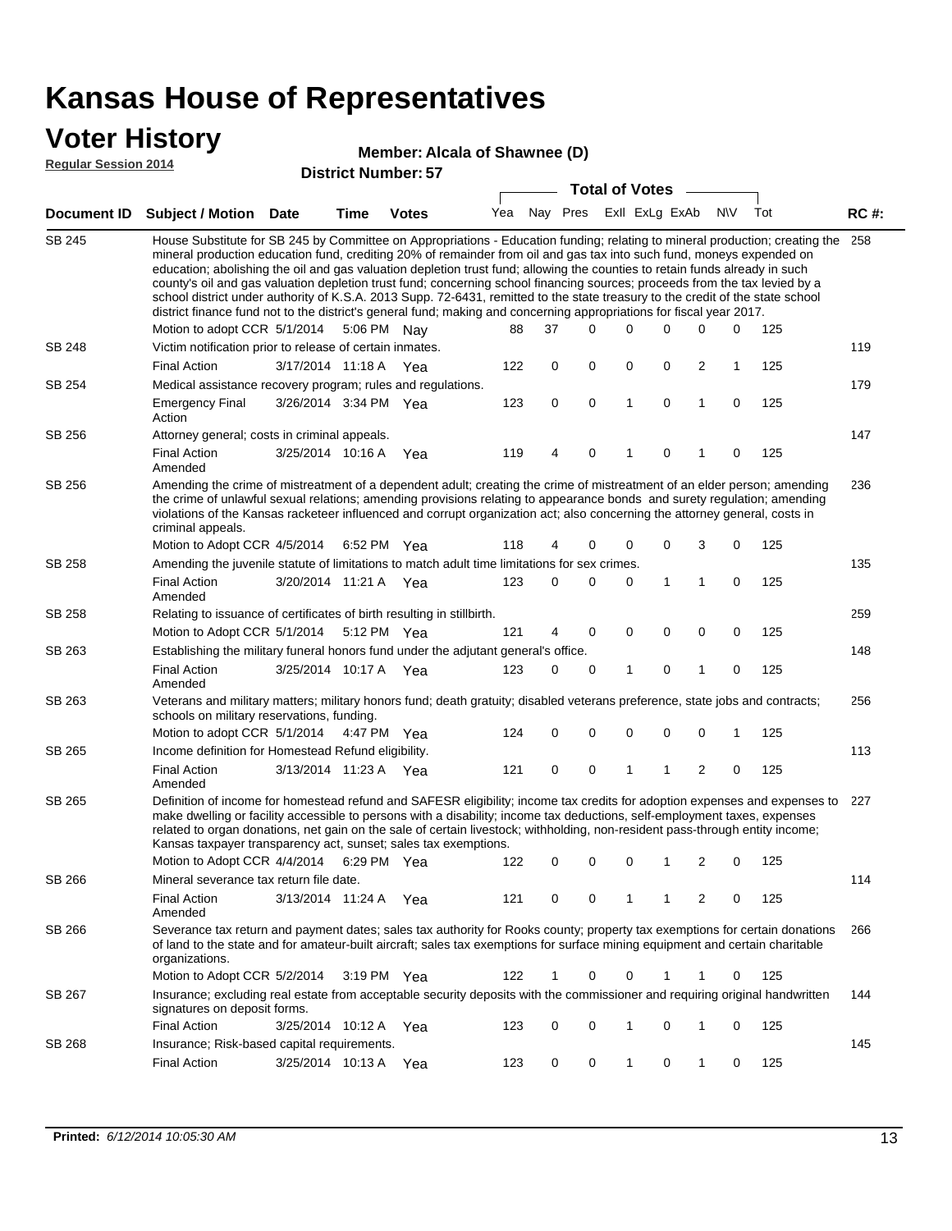### **Voter History**

#### **Alcala of Shawnee (D)**

**Regular Session 2014**

|               |                                                                                                                                                                                                                                                                                                                                                                                                                                                                                                                                                                                                                                                                                                                                                                                                               |                       |      | DISTRICT MAILING TO   |     |          |   | <b>Total of Votes</b> |              |                |              |             |     |             |
|---------------|---------------------------------------------------------------------------------------------------------------------------------------------------------------------------------------------------------------------------------------------------------------------------------------------------------------------------------------------------------------------------------------------------------------------------------------------------------------------------------------------------------------------------------------------------------------------------------------------------------------------------------------------------------------------------------------------------------------------------------------------------------------------------------------------------------------|-----------------------|------|-----------------------|-----|----------|---|-----------------------|--------------|----------------|--------------|-------------|-----|-------------|
|               | Document ID Subject / Motion                                                                                                                                                                                                                                                                                                                                                                                                                                                                                                                                                                                                                                                                                                                                                                                  | <b>Date</b>           | Time | <b>Votes</b>          | Yea | Nay Pres |   |                       |              | Exll ExLg ExAb |              | <b>N/A</b>  | Tot | <b>RC#:</b> |
| <b>SB 245</b> | House Substitute for SB 245 by Committee on Appropriations - Education funding; relating to mineral production; creating the<br>mineral production education fund, crediting 20% of remainder from oil and gas tax into such fund, moneys expended on<br>education; abolishing the oil and gas valuation depletion trust fund; allowing the counties to retain funds already in such<br>county's oil and gas valuation depletion trust fund; concerning school financing sources; proceeds from the tax levied by a<br>school district under authority of K.S.A. 2013 Supp. 72-6431, remitted to the state treasury to the credit of the state school<br>district finance fund not to the district's general fund; making and concerning appropriations for fiscal year 2017.<br>Motion to adopt CCR 5/1/2014 |                       |      | 5:06 PM Nay           | 88  | 37       |   | $\Omega$              | 0            | 0              | 0            | $\mathbf 0$ | 125 | 258         |
| <b>SB 248</b> | Victim notification prior to release of certain inmates.                                                                                                                                                                                                                                                                                                                                                                                                                                                                                                                                                                                                                                                                                                                                                      |                       |      |                       |     |          |   |                       |              |                |              |             |     | 119         |
|               | <b>Final Action</b>                                                                                                                                                                                                                                                                                                                                                                                                                                                                                                                                                                                                                                                                                                                                                                                           | 3/17/2014 11:18 A Yea |      |                       | 122 |          | 0 | 0                     | 0            | 0              | 2            | 1           | 125 |             |
| SB 254        | Medical assistance recovery program; rules and regulations.                                                                                                                                                                                                                                                                                                                                                                                                                                                                                                                                                                                                                                                                                                                                                   |                       |      |                       |     |          |   |                       |              |                |              |             |     | 179         |
|               | <b>Emergency Final</b><br>Action                                                                                                                                                                                                                                                                                                                                                                                                                                                                                                                                                                                                                                                                                                                                                                              | 3/26/2014 3:34 PM Yea |      |                       | 123 |          | 0 | $\mathbf 0$           | $\mathbf{1}$ | 0              | $\mathbf{1}$ | $\mathbf 0$ | 125 |             |
| SB 256        | Attorney general; costs in criminal appeals.                                                                                                                                                                                                                                                                                                                                                                                                                                                                                                                                                                                                                                                                                                                                                                  |                       |      |                       |     |          |   |                       |              |                |              |             |     | 147         |
|               | <b>Final Action</b><br>Amended                                                                                                                                                                                                                                                                                                                                                                                                                                                                                                                                                                                                                                                                                                                                                                                | 3/25/2014 10:16 A     |      | Yea                   | 119 |          | 4 | 0                     | 1            | 0              | 1            | 0           | 125 |             |
| SB 256        | Amending the crime of mistreatment of a dependent adult; creating the crime of mistreatment of an elder person; amending<br>the crime of unlawful sexual relations; amending provisions relating to appearance bonds and surety regulation; amending<br>violations of the Kansas racketeer influenced and corrupt organization act; also concerning the attorney general, costs in<br>criminal appeals.                                                                                                                                                                                                                                                                                                                                                                                                       |                       |      |                       |     |          |   |                       |              |                |              |             |     | 236         |
|               | Motion to Adopt CCR 4/5/2014 6:52 PM Yea                                                                                                                                                                                                                                                                                                                                                                                                                                                                                                                                                                                                                                                                                                                                                                      |                       |      |                       | 118 |          | 4 | 0                     | 0            | 0              | 3            | 0           | 125 |             |
| SB 258        | Amending the juvenile statute of limitations to match adult time limitations for sex crimes.<br><b>Final Action</b>                                                                                                                                                                                                                                                                                                                                                                                                                                                                                                                                                                                                                                                                                           | 3/20/2014 11:21 A Yea |      |                       | 123 |          | 0 | 0                     | 0            | 1              | 1            | 0           | 125 | 135         |
|               | Amended                                                                                                                                                                                                                                                                                                                                                                                                                                                                                                                                                                                                                                                                                                                                                                                                       |                       |      |                       |     |          |   |                       |              |                |              |             |     |             |
| SB 258        | Relating to issuance of certificates of birth resulting in stillbirth.                                                                                                                                                                                                                                                                                                                                                                                                                                                                                                                                                                                                                                                                                                                                        |                       |      |                       |     |          |   | 0                     | 0            | $\mathbf 0$    |              | 0           |     | 259         |
| SB 263        | Motion to Adopt CCR 5/1/2014 5:12 PM Yea<br>Establishing the military funeral honors fund under the adjutant general's office.                                                                                                                                                                                                                                                                                                                                                                                                                                                                                                                                                                                                                                                                                |                       |      |                       | 121 |          | 4 |                       |              |                | 0            |             | 125 | 148         |
|               | <b>Final Action</b>                                                                                                                                                                                                                                                                                                                                                                                                                                                                                                                                                                                                                                                                                                                                                                                           | 3/25/2014 10:17 A Yea |      |                       | 123 |          | 0 | 0                     | 1            | 0              | 1            | 0           | 125 |             |
| SB 263        | Amended<br>Veterans and military matters; military honors fund; death gratuity; disabled veterans preference, state jobs and contracts;                                                                                                                                                                                                                                                                                                                                                                                                                                                                                                                                                                                                                                                                       |                       |      |                       |     |          |   |                       |              |                |              |             |     | 256         |
|               | schools on military reservations, funding.                                                                                                                                                                                                                                                                                                                                                                                                                                                                                                                                                                                                                                                                                                                                                                    |                       |      |                       |     |          |   |                       |              |                |              |             |     |             |
|               | Motion to adopt CCR 5/1/2014 4:47 PM Yea                                                                                                                                                                                                                                                                                                                                                                                                                                                                                                                                                                                                                                                                                                                                                                      |                       |      |                       | 124 |          | 0 | 0                     | 0            | 0              | 0            | 1           | 125 |             |
| SB 265        | Income definition for Homestead Refund eligibility.                                                                                                                                                                                                                                                                                                                                                                                                                                                                                                                                                                                                                                                                                                                                                           |                       |      |                       |     |          |   |                       |              |                |              |             |     | 113         |
|               | <b>Final Action</b>                                                                                                                                                                                                                                                                                                                                                                                                                                                                                                                                                                                                                                                                                                                                                                                           | 3/13/2014 11:23 A Yea |      |                       | 121 |          | 0 | 0                     | 1            | 1              | 2            | 0           | 125 |             |
| SB 265        | Amended<br>Definition of income for homestead refund and SAFESR eligibility; income tax credits for adoption expenses and expenses to<br>make dwelling or facility accessible to persons with a disability; income tax deductions, self-employment taxes, expenses<br>related to organ donations, net gain on the sale of certain livestock; withholding, non-resident pass-through entity income;<br>Kansas taxpayer transparency act, sunset; sales tax exemptions.<br>Motion to Adopt CCR 4/4/2014                                                                                                                                                                                                                                                                                                         |                       |      | 6:29 PM Yea           | 122 |          | 0 | 0                     | 0            | 1              | 2            | 0           | 125 | 227         |
| SB 266        | Mineral severance tax return file date.                                                                                                                                                                                                                                                                                                                                                                                                                                                                                                                                                                                                                                                                                                                                                                       |                       |      |                       |     |          |   |                       |              |                |              |             |     | 114         |
|               | <b>Final Action</b><br>Amended                                                                                                                                                                                                                                                                                                                                                                                                                                                                                                                                                                                                                                                                                                                                                                                | 3/13/2014 11:24 A Yea |      |                       | 121 |          | 0 | 0                     | 1            | 1              | 2            | 0           | 125 |             |
| SB 266        | Severance tax return and payment dates; sales tax authority for Rooks county; property tax exemptions for certain donations<br>of land to the state and for amateur-built aircraft; sales tax exemptions for surface mining equipment and certain charitable<br>organizations.                                                                                                                                                                                                                                                                                                                                                                                                                                                                                                                                |                       |      |                       |     |          |   |                       |              |                |              |             |     | 266         |
|               | Motion to Adopt CCR 5/2/2014                                                                                                                                                                                                                                                                                                                                                                                                                                                                                                                                                                                                                                                                                                                                                                                  |                       |      | $3:19 \text{ PM}$ Yea | 122 |          | 1 | 0                     | 0            |                | 1            | 0           | 125 |             |
| SB 267        | Insurance; excluding real estate from acceptable security deposits with the commissioner and requiring original handwritten<br>signatures on deposit forms.                                                                                                                                                                                                                                                                                                                                                                                                                                                                                                                                                                                                                                                   |                       |      |                       |     |          |   |                       |              |                |              |             |     | 144         |
|               | <b>Final Action</b>                                                                                                                                                                                                                                                                                                                                                                                                                                                                                                                                                                                                                                                                                                                                                                                           | 3/25/2014 10:12 A     |      | Yea                   | 123 |          | 0 | 0                     | 1            | 0              | 1            | 0           | 125 |             |
| SB 268        | Insurance; Risk-based capital requirements.                                                                                                                                                                                                                                                                                                                                                                                                                                                                                                                                                                                                                                                                                                                                                                   |                       |      |                       |     |          |   |                       |              |                |              |             |     | 145         |
|               | <b>Final Action</b>                                                                                                                                                                                                                                                                                                                                                                                                                                                                                                                                                                                                                                                                                                                                                                                           | 3/25/2014 10:13 A     |      | Yea                   | 123 |          | 0 | 0                     | 1            | 0              | 1            | 0           | 125 |             |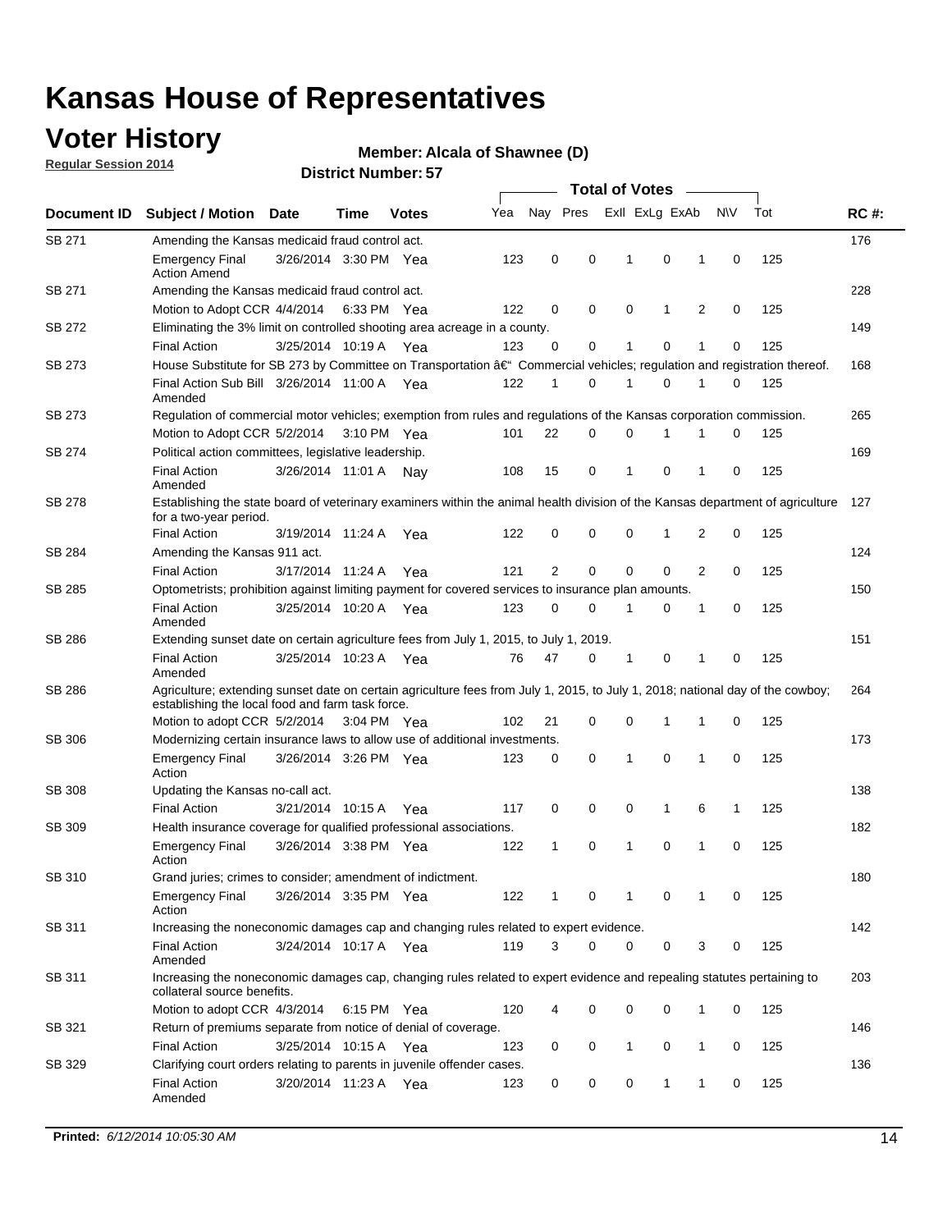### **Voter History**

**Regular Session 2014**

#### **Alcala of Shawnee (D)**

|               |                                                                                                                                                                                    |                       |      |              |     |              |             | <b>Total of Votes</b> |              |   |             |     |             |
|---------------|------------------------------------------------------------------------------------------------------------------------------------------------------------------------------------|-----------------------|------|--------------|-----|--------------|-------------|-----------------------|--------------|---|-------------|-----|-------------|
| Document ID   | <b>Subject / Motion Date</b>                                                                                                                                                       |                       | Time | <b>Votes</b> | Yea | Nay Pres     |             | Exll ExLg ExAb        |              |   | N\V         | Tot | <b>RC#:</b> |
| SB 271        | Amending the Kansas medicaid fraud control act.                                                                                                                                    |                       |      |              |     |              |             |                       |              |   |             |     | 176         |
|               | <b>Emergency Final</b><br><b>Action Amend</b>                                                                                                                                      | 3/26/2014 3:30 PM Yea |      |              | 123 | 0            | 0           | -1                    | 0            | 1 | 0           | 125 |             |
| SB 271        | Amending the Kansas medicaid fraud control act.                                                                                                                                    |                       |      |              |     |              |             |                       |              |   |             |     | 228         |
|               | Motion to Adopt CCR 4/4/2014 6:33 PM Yea                                                                                                                                           |                       |      |              | 122 | 0            | 0           | 0                     | 1            | 2 | 0           | 125 |             |
| SB 272        | Eliminating the 3% limit on controlled shooting area acreage in a county.                                                                                                          |                       |      |              |     |              |             |                       |              |   |             |     | 149         |
|               | <b>Final Action</b>                                                                                                                                                                | 3/25/2014 10:19 A Yea |      |              | 123 | 0            | 0           | 1                     | 0            | 1 | 0           | 125 |             |
| SB 273        | House Substitute for SB 273 by Committee on Transportation †Commercial vehicles; regulation and registration thereof.                                                              |                       |      |              |     |              |             |                       |              |   |             |     | 168         |
|               | Final Action Sub Bill 3/26/2014 11:00 A Yea<br>Amended                                                                                                                             |                       |      |              | 122 | 1            | 0           | 1                     | 0            | 1 | 0           | 125 |             |
| SB 273        | Regulation of commercial motor vehicles; exemption from rules and regulations of the Kansas corporation commission.                                                                |                       |      |              |     |              |             |                       |              |   |             |     | 265         |
|               | Motion to Adopt CCR 5/2/2014 3:10 PM Yea                                                                                                                                           |                       |      |              | 101 | 22           | 0           | 0                     | 1            | 1 | 0           | 125 |             |
| SB 274        | Political action committees, legislative leadership.                                                                                                                               |                       |      |              |     |              |             |                       |              |   |             |     | 169         |
|               | <b>Final Action</b><br>Amended                                                                                                                                                     | 3/26/2014 11:01 A Nav |      |              | 108 | 15           | 0           | $\mathbf{1}$          | $\mathbf 0$  | 1 | 0           | 125 |             |
| <b>SB 278</b> | Establishing the state board of veterinary examiners within the animal health division of the Kansas department of agriculture<br>for a two-year period.                           |                       |      |              |     |              |             |                       |              |   |             |     | 127         |
|               | <b>Final Action</b>                                                                                                                                                                | 3/19/2014 11:24 A     |      | Yea          | 122 | 0            | 0           | 0                     | 1            | 2 | 0           | 125 |             |
| SB 284        | Amending the Kansas 911 act.                                                                                                                                                       |                       |      |              |     |              |             |                       |              |   |             |     | 124         |
|               | <b>Final Action</b>                                                                                                                                                                | 3/17/2014 11:24 A     |      | Yea          | 121 | 2            | $\mathbf 0$ | $\mathbf 0$           | $\mathbf 0$  | 2 | 0           | 125 |             |
| SB 285        | Optometrists; prohibition against limiting payment for covered services to insurance plan amounts.                                                                                 |                       |      |              |     |              |             |                       |              |   |             |     | 150         |
|               | <b>Final Action</b><br>Amended                                                                                                                                                     | 3/25/2014 10:20 A Yea |      |              | 123 | 0            | 0           | $\mathbf{1}$          | 0            | 1 | $\mathbf 0$ | 125 |             |
| SB 286        | Extending sunset date on certain agriculture fees from July 1, 2015, to July 1, 2019.                                                                                              |                       |      |              |     |              |             |                       |              |   |             |     | 151         |
|               | <b>Final Action</b><br>Amended                                                                                                                                                     | 3/25/2014 10:23 A Yea |      |              | 76  | 47           | 0           | -1                    | 0            | 1 | 0           | 125 |             |
| SB 286        | Agriculture; extending sunset date on certain agriculture fees from July 1, 2015, to July 1, 2018; national day of the cowboy;<br>establishing the local food and farm task force. |                       |      |              |     |              |             |                       |              |   |             |     | 264         |
|               | Motion to adopt CCR 5/2/2014 3:04 PM Yea                                                                                                                                           |                       |      |              | 102 | 21           | 0           | 0                     | 1            | 1 | 0           | 125 |             |
| <b>SB 306</b> | Modernizing certain insurance laws to allow use of additional investments.                                                                                                         |                       |      |              |     |              |             |                       |              |   |             |     | 173         |
|               | <b>Emergency Final</b><br>Action                                                                                                                                                   | 3/26/2014 3:26 PM Yea |      |              | 123 | 0            | 0           | 1                     | 0            | 1 | 0           | 125 |             |
| <b>SB 308</b> | Updating the Kansas no-call act.                                                                                                                                                   |                       |      |              |     |              |             |                       |              |   |             |     | 138         |
|               | <b>Final Action</b>                                                                                                                                                                | 3/21/2014 10:15 A     |      | Yea          | 117 | 0            | 0           | 0                     | $\mathbf{1}$ | 6 | 1           | 125 |             |
| SB 309        | Health insurance coverage for qualified professional associations.                                                                                                                 |                       |      |              |     |              |             |                       |              |   |             |     | 182         |
|               | <b>Emergency Final</b><br>Action                                                                                                                                                   | 3/26/2014 3:38 PM Yea |      |              | 122 | $\mathbf{1}$ | 0           | 1                     | 0            | 1 | $\mathbf 0$ | 125 |             |
| SB 310        | Grand juries; crimes to consider; amendment of indictment.                                                                                                                         |                       |      |              |     |              |             |                       |              |   |             |     | 180         |
|               | <b>Emergency Final</b><br>Action                                                                                                                                                   | 3/26/2014 3:35 PM Yea |      |              | 122 | 1            | 0           | 1                     | 0            | 1 | 0           | 125 |             |
| SB 311        | Increasing the noneconomic damages cap and changing rules related to expert evidence.                                                                                              |                       |      |              |     |              |             |                       |              |   |             |     | 142         |
|               | <b>Final Action</b><br>Amended                                                                                                                                                     | 3/24/2014 10:17 A Yea |      |              | 119 | 3            | $\Omega$    | 0                     | 0            | 3 | 0           | 125 |             |
| SB 311        | Increasing the noneconomic damages cap, changing rules related to expert evidence and repealing statutes pertaining to<br>collateral source benefits.                              |                       |      |              |     |              |             |                       |              |   |             |     | 203         |
|               | Motion to adopt CCR 4/3/2014 6:15 PM Yea                                                                                                                                           |                       |      |              | 120 | 4            | 0           | 0                     | 0            | 1 | 0           | 125 |             |
| SB 321        | Return of premiums separate from notice of denial of coverage.                                                                                                                     |                       |      |              |     |              |             |                       |              |   |             |     | 146         |
|               | <b>Final Action</b>                                                                                                                                                                | 3/25/2014 10:15 A Yea |      |              | 123 | 0            | 0           | $\mathbf{1}$          | 0            | 1 | 0           | 125 |             |
| SB 329        | Clarifying court orders relating to parents in juvenile offender cases.<br><b>Final Action</b><br>Amended                                                                          | 3/20/2014 11:23 A Yea |      |              | 123 | 0            | 0           | 0                     | 1            | 1 | 0           | 125 | 136         |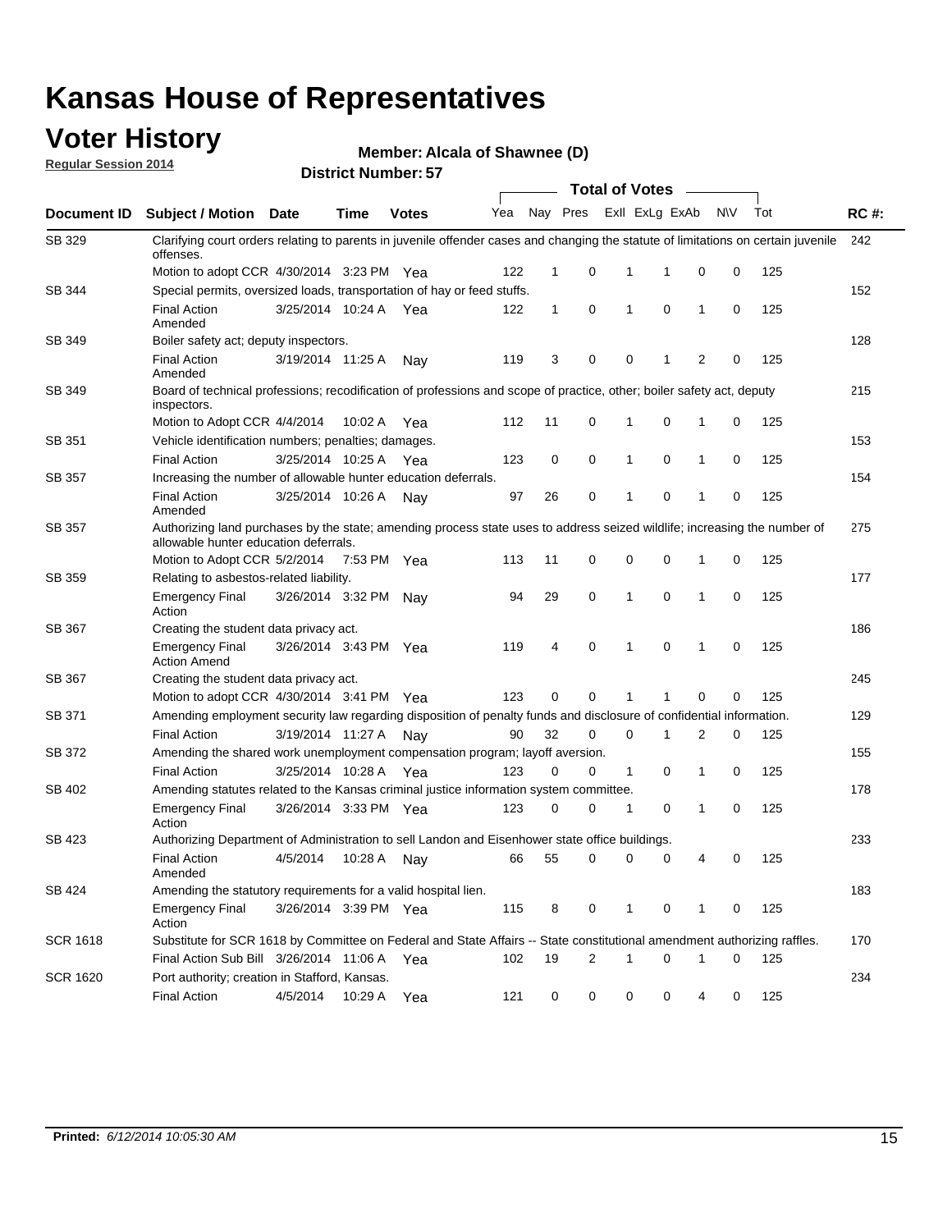### **Voter History**

**Regular Session 2014**

**Alcala of Shawnee (D)**

|                    |                                                                                                                                                                    |                       |             |              |     |              |          |              | <b>Total of Votes</b> |              |           |     |             |
|--------------------|--------------------------------------------------------------------------------------------------------------------------------------------------------------------|-----------------------|-------------|--------------|-----|--------------|----------|--------------|-----------------------|--------------|-----------|-----|-------------|
| <b>Document ID</b> | <b>Subject / Motion Date</b>                                                                                                                                       |                       | Time        | <b>Votes</b> | Yea |              | Nay Pres |              | Exll ExLg ExAb        |              | <b>NV</b> | Tot | <b>RC#:</b> |
| SB 329             | Clarifying court orders relating to parents in juvenile offender cases and changing the statute of limitations on certain juvenile<br>offenses.                    |                       |             |              |     |              |          |              |                       |              |           |     | 242         |
|                    | Motion to adopt CCR 4/30/2014 3:23 PM Yea                                                                                                                          |                       |             |              | 122 | $\mathbf 1$  | 0        | 1            | -1                    | 0            | 0         | 125 |             |
| SB 344             | Special permits, oversized loads, transportation of hay or feed stuffs.                                                                                            |                       |             |              |     |              |          |              |                       |              |           |     | 152         |
|                    | <b>Final Action</b><br>Amended                                                                                                                                     | 3/25/2014 10:24 A     |             | Yea          | 122 | $\mathbf{1}$ | 0        | $\mathbf{1}$ | 0                     | $\mathbf{1}$ | 0         | 125 |             |
| <b>SB 349</b>      | Boiler safety act; deputy inspectors.                                                                                                                              |                       |             |              |     |              |          |              |                       |              |           |     | 128         |
|                    | <b>Final Action</b><br>Amended                                                                                                                                     | 3/19/2014 11:25 A     |             | Nay          | 119 | 3            | 0        | 0            | 1                     | 2            | 0         | 125 |             |
| SB 349             | Board of technical professions; recodification of professions and scope of practice, other; boiler safety act, deputy<br>inspectors.                               |                       |             |              |     |              |          |              |                       |              |           |     | 215         |
|                    | Motion to Adopt CCR 4/4/2014                                                                                                                                       |                       | 10:02 A     | Yea          | 112 | 11           | 0        | 1            | 0                     | 1            | 0         | 125 |             |
| SB 351             | Vehicle identification numbers; penalties; damages.                                                                                                                |                       |             |              |     |              |          |              |                       |              |           |     | 153         |
|                    | <b>Final Action</b>                                                                                                                                                | 3/25/2014 10:25 A     |             | Yea          | 123 | 0            | 0        | 1            | 0                     | 1            | 0         | 125 |             |
| SB 357             | Increasing the number of allowable hunter education deferrals.                                                                                                     |                       |             |              |     |              |          |              |                       |              |           |     | 154         |
|                    | <b>Final Action</b><br>Amended                                                                                                                                     | 3/25/2014 10:26 A     |             | Nav          | 97  | 26           | 0        | $\mathbf{1}$ | 0                     | 1            | 0         | 125 |             |
| SB 357             | Authorizing land purchases by the state; amending process state uses to address seized wildlife; increasing the number of<br>allowable hunter education deferrals. |                       |             |              |     |              |          |              |                       |              |           |     | 275         |
|                    | Motion to Adopt CCR 5/2/2014                                                                                                                                       |                       | 7:53 PM Yea |              | 113 | 11           | 0        | 0            | $\mathbf 0$           | 1            | 0         | 125 |             |
| SB 359             | Relating to asbestos-related liability.                                                                                                                            |                       |             |              |     |              |          |              |                       |              |           |     | 177         |
|                    | <b>Emergency Final</b><br>Action                                                                                                                                   | 3/26/2014 3:32 PM Nay |             |              | 94  | 29           | 0        | 1            | $\mathbf 0$           | 1            | 0         | 125 |             |
| <b>SB 367</b>      | Creating the student data privacy act.                                                                                                                             |                       |             |              |     |              |          |              |                       |              |           |     | 186         |
|                    | <b>Emergency Final</b><br><b>Action Amend</b>                                                                                                                      | 3/26/2014 3:43 PM Yea |             |              | 119 | 4            | 0        | $\mathbf{1}$ | 0                     | 1            | 0         | 125 |             |
| SB 367             | Creating the student data privacy act.                                                                                                                             |                       |             |              |     |              |          |              |                       |              |           |     | 245         |
|                    | Motion to adopt CCR 4/30/2014 3:41 PM Yea                                                                                                                          |                       |             |              | 123 | 0            | 0        | 1            | 1                     | 0            | 0         | 125 |             |
| SB 371             | Amending employment security law regarding disposition of penalty funds and disclosure of confidential information.                                                |                       |             |              |     |              |          |              |                       |              |           |     | 129         |
|                    | <b>Final Action</b>                                                                                                                                                | 3/19/2014 11:27 A     |             | Nav          | 90  | 32           | 0        | $\mathbf 0$  | 1                     | 2            | 0         | 125 |             |
| SB 372             | Amending the shared work unemployment compensation program; layoff aversion.                                                                                       |                       |             |              |     |              |          |              |                       |              |           |     | 155         |
|                    | <b>Final Action</b>                                                                                                                                                | 3/25/2014 10:28 A     |             | Yea          | 123 | 0            | 0        | 1            | 0                     | 1            | 0         | 125 |             |
| SB 402             | Amending statutes related to the Kansas criminal justice information system committee.                                                                             |                       |             |              |     |              |          |              |                       |              |           |     | 178         |
|                    | <b>Emergency Final</b><br>Action                                                                                                                                   | 3/26/2014 3:33 PM Yea |             |              | 123 | 0            | 0        | $\mathbf{1}$ | 0                     | $\mathbf{1}$ | 0         | 125 |             |
| SB 423             | Authorizing Department of Administration to sell Landon and Eisenhower state office buildings.                                                                     |                       |             |              |     |              |          |              |                       |              |           |     | 233         |
|                    | <b>Final Action</b><br>Amended                                                                                                                                     | 4/5/2014              | 10:28 A     | Nay          | 66  | 55           | 0        | 0            | 0                     | 4            | 0         | 125 |             |
| SB 424             | Amending the statutory requirements for a valid hospital lien.                                                                                                     |                       |             |              |     |              |          |              |                       |              |           |     | 183         |
|                    | <b>Emergency Final</b><br>Action                                                                                                                                   | 3/26/2014 3:39 PM Yea |             |              | 115 | 8            | 0        | 1            | 0                     | 1            | 0         | 125 |             |
| <b>SCR 1618</b>    | Substitute for SCR 1618 by Committee on Federal and State Affairs -- State constitutional amendment authorizing raffles.                                           |                       |             |              |     |              |          |              |                       |              |           |     | 170         |
|                    | Final Action Sub Bill 3/26/2014 11:06 A Yea                                                                                                                        |                       |             |              | 102 | 19           | 2        | 1            | 0                     | 1            | 0         | 125 |             |
| <b>SCR 1620</b>    | Port authority; creation in Stafford, Kansas.                                                                                                                      |                       |             |              |     |              |          |              |                       |              |           |     | 234         |
|                    | <b>Final Action</b>                                                                                                                                                | 4/5/2014              | 10:29 A     | Yea          | 121 | 0            | 0        | 0            | 0                     | 4            | 0         | 125 |             |